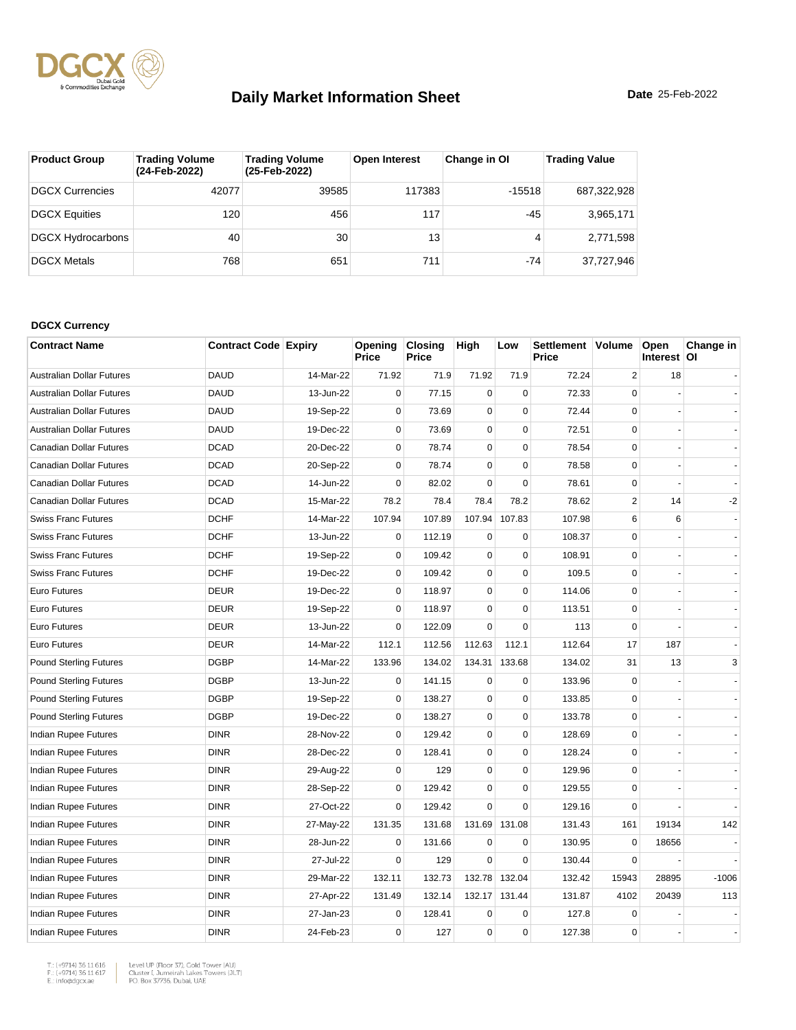

| <b>Product Group</b>   | <b>Trading Volume</b><br>(24-Feb-2022) | <b>Trading Volume</b><br>(25-Feb-2022) | <b>Open Interest</b> | Change in OI | <b>Trading Value</b> |
|------------------------|----------------------------------------|----------------------------------------|----------------------|--------------|----------------------|
| <b>DGCX Currencies</b> | 42077                                  | 39585                                  | 117383               | $-15518$     | 687,322,928          |
| <b>DGCX Equities</b>   | 120                                    | 456                                    | 117                  | $-45$        | 3,965,171            |
| DGCX Hydrocarbons      | 40                                     | 30                                     | 13                   | 4            | 2,771,598            |
| <b>DGCX Metals</b>     | 768                                    | 651                                    | 711                  | $-74$        | 37,727,946           |

#### **DGCX Currency**

| <b>Contract Name</b>             | <b>Contract Code Expiry</b> |           | Opening<br>Price | <b>Closing</b><br>Price | High        | Low         | Settlement   Volume<br>Price |                | Open<br>Interest OI | Change in |
|----------------------------------|-----------------------------|-----------|------------------|-------------------------|-------------|-------------|------------------------------|----------------|---------------------|-----------|
| <b>Australian Dollar Futures</b> | <b>DAUD</b>                 | 14-Mar-22 | 71.92            | 71.9                    | 71.92       | 71.9        | 72.24                        | $\overline{2}$ | 18                  |           |
| <b>Australian Dollar Futures</b> | <b>DAUD</b>                 | 13-Jun-22 | 0                | 77.15                   | $\pmb{0}$   | $\mathbf 0$ | 72.33                        | $\mathbf 0$    |                     |           |
| <b>Australian Dollar Futures</b> | <b>DAUD</b>                 | 19-Sep-22 | 0                | 73.69                   | $\mathbf 0$ | $\mathbf 0$ | 72.44                        | $\Omega$       |                     |           |
| <b>Australian Dollar Futures</b> | <b>DAUD</b>                 | 19-Dec-22 | $\mathbf 0$      | 73.69                   | $\mathbf 0$ | $\mathbf 0$ | 72.51                        | 0              |                     |           |
| Canadian Dollar Futures          | <b>DCAD</b>                 | 20-Dec-22 | $\mathbf 0$      | 78.74                   | $\mathbf 0$ | $\mathbf 0$ | 78.54                        | $\Omega$       |                     |           |
| <b>Canadian Dollar Futures</b>   | <b>DCAD</b>                 | 20-Sep-22 | $\mathbf 0$      | 78.74                   | $\pmb{0}$   | $\mathbf 0$ | 78.58                        | 0              |                     |           |
| <b>Canadian Dollar Futures</b>   | <b>DCAD</b>                 | 14-Jun-22 | $\mathbf 0$      | 82.02                   | $\mathbf 0$ | $\mathbf 0$ | 78.61                        | $\mathbf 0$    |                     |           |
| Canadian Dollar Futures          | <b>DCAD</b>                 | 15-Mar-22 | 78.2             | 78.4                    | 78.4        | 78.2        | 78.62                        | 2              | 14                  | -2        |
| <b>Swiss Franc Futures</b>       | <b>DCHF</b>                 | 14-Mar-22 | 107.94           | 107.89                  | 107.94      | 107.83      | 107.98                       | 6              | 6                   |           |
| <b>Swiss Franc Futures</b>       | <b>DCHF</b>                 | 13-Jun-22 | $\mathbf 0$      | 112.19                  | $\mathbf 0$ | $\mathbf 0$ | 108.37                       | $\Omega$       |                     |           |
| <b>Swiss Franc Futures</b>       | <b>DCHF</b>                 | 19-Sep-22 | $\mathbf 0$      | 109.42                  | $\mathbf 0$ | $\mathbf 0$ | 108.91                       | 0              |                     |           |
| <b>Swiss Franc Futures</b>       | <b>DCHF</b>                 | 19-Dec-22 | $\mathbf 0$      | 109.42                  | $\mathbf 0$ | $\mathbf 0$ | 109.5                        | $\Omega$       |                     |           |
| Euro Futures                     | <b>DEUR</b>                 | 19-Dec-22 | $\mathbf 0$      | 118.97                  | $\mathbf 0$ | $\mathbf 0$ | 114.06                       | $\Omega$       |                     |           |
| <b>Euro Futures</b>              | <b>DEUR</b>                 | 19-Sep-22 | $\mathbf 0$      | 118.97                  | $\mathbf 0$ | $\mathbf 0$ | 113.51                       | $\Omega$       |                     |           |
| Euro Futures                     | <b>DEUR</b>                 | 13-Jun-22 | 0                | 122.09                  | $\mathbf 0$ | $\mathbf 0$ | 113                          | 0              |                     |           |
| <b>Euro Futures</b>              | <b>DEUR</b>                 | 14-Mar-22 | 112.1            | 112.56                  | 112.63      | 112.1       | 112.64                       | 17             | 187                 |           |
| <b>Pound Sterling Futures</b>    | <b>DGBP</b>                 | 14-Mar-22 | 133.96           | 134.02                  | 134.31      | 133.68      | 134.02                       | 31             | 13                  | 3         |
| <b>Pound Sterling Futures</b>    | <b>DGBP</b>                 | 13-Jun-22 | $\mathbf 0$      | 141.15                  | $\mathbf 0$ | $\mathbf 0$ | 133.96                       | $\mathbf 0$    |                     |           |
| <b>Pound Sterling Futures</b>    | <b>DGBP</b>                 | 19-Sep-22 | $\mathbf 0$      | 138.27                  | $\mathbf 0$ | $\mathbf 0$ | 133.85                       | $\mathbf 0$    |                     |           |
| <b>Pound Sterling Futures</b>    | <b>DGBP</b>                 | 19-Dec-22 | $\mathbf 0$      | 138.27                  | $\mathbf 0$ | $\mathbf 0$ | 133.78                       | $\Omega$       |                     |           |
| Indian Rupee Futures             | <b>DINR</b>                 | 28-Nov-22 | $\mathbf 0$      | 129.42                  | $\pmb{0}$   | $\mathbf 0$ | 128.69                       | 0              |                     |           |
| Indian Rupee Futures             | <b>DINR</b>                 | 28-Dec-22 | $\Omega$         | 128.41                  | $\mathbf 0$ | $\mathbf 0$ | 128.24                       | $\Omega$       |                     |           |
| Indian Rupee Futures             | <b>DINR</b>                 | 29-Aug-22 | $\mathbf 0$      | 129                     | $\pmb{0}$   | $\mathbf 0$ | 129.96                       | 0              |                     |           |
| <b>Indian Rupee Futures</b>      | <b>DINR</b>                 | 28-Sep-22 | $\mathbf 0$      | 129.42                  | $\mathbf 0$ | $\mathbf 0$ | 129.55                       | $\Omega$       |                     |           |
| Indian Rupee Futures             | <b>DINR</b>                 | 27-Oct-22 | 0                | 129.42                  | $\mathbf 0$ | $\mathbf 0$ | 129.16                       | $\mathbf 0$    |                     |           |
| Indian Rupee Futures             | <b>DINR</b>                 | 27-May-22 | 131.35           | 131.68                  | 131.69      | 131.08      | 131.43                       | 161            | 19134               | 142       |
| Indian Rupee Futures             | <b>DINR</b>                 | 28-Jun-22 | 0                | 131.66                  | $\mathbf 0$ | 0           | 130.95                       | $\Omega$       | 18656               |           |
| <b>Indian Rupee Futures</b>      | <b>DINR</b>                 | 27-Jul-22 | $\mathbf 0$      | 129                     | $\mathbf 0$ | $\mathbf 0$ | 130.44                       | $\mathbf 0$    |                     |           |
| <b>Indian Rupee Futures</b>      | <b>DINR</b>                 | 29-Mar-22 | 132.11           | 132.73                  | 132.78      | 132.04      | 132.42                       | 15943          | 28895               | $-1006$   |
| Indian Rupee Futures             | <b>DINR</b>                 | 27-Apr-22 | 131.49           | 132.14                  | 132.17      | 131.44      | 131.87                       | 4102           | 20439               | 113       |
| <b>Indian Rupee Futures</b>      | <b>DINR</b>                 | 27-Jan-23 | $\mathbf 0$      | 128.41                  | $\mathbf 0$ | $\mathbf 0$ | 127.8                        | $\mathbf 0$    |                     |           |
| Indian Rupee Futures             | <b>DINR</b>                 | 24-Feb-23 | $\mathbf 0$      | 127                     | 0           | $\mathbf 0$ | 127.38                       | $\Omega$       |                     |           |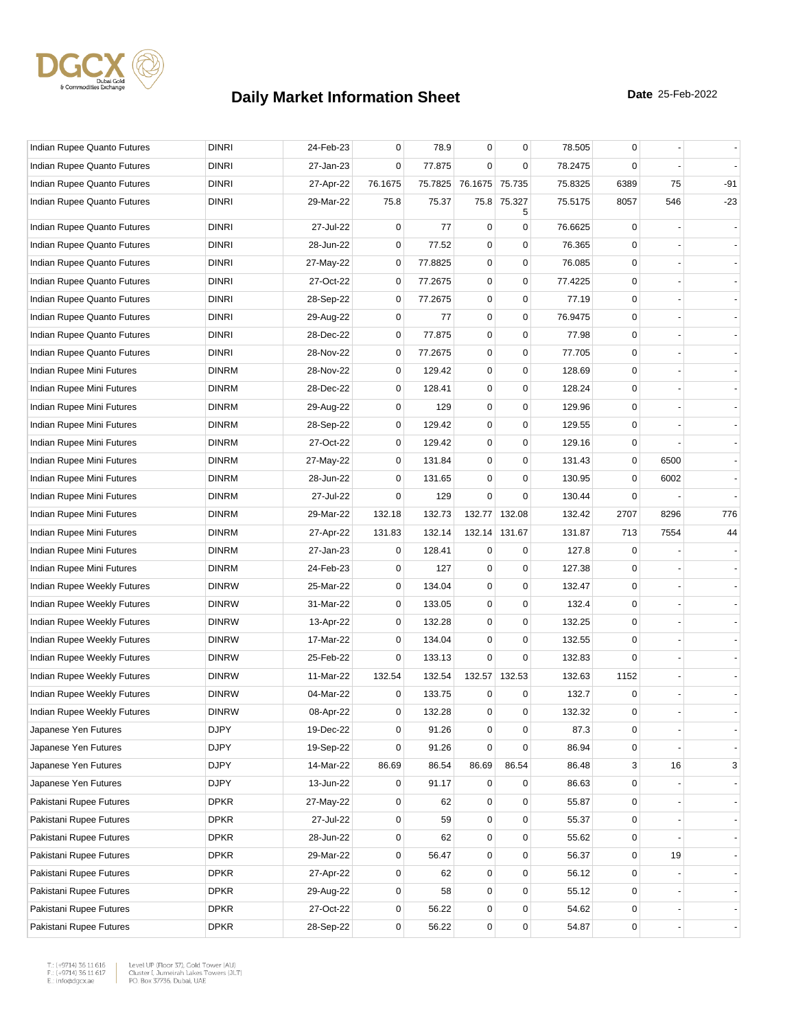

| Indian Rupee Quanto Futures | <b>DINRI</b> | 24-Feb-23 | 0           | 78.9    | $\mathbf 0$            | $\mathbf 0$      | 78.505  | 0           |      |       |
|-----------------------------|--------------|-----------|-------------|---------|------------------------|------------------|---------|-------------|------|-------|
| Indian Rupee Quanto Futures | <b>DINRI</b> | 27-Jan-23 | 0           | 77.875  | $\mathbf 0$            | $\mathbf 0$      | 78.2475 | $\Omega$    |      |       |
| Indian Rupee Quanto Futures | <b>DINRI</b> | 27-Apr-22 | 76.1675     |         | 75.7825 76.1675 75.735 |                  | 75.8325 | 6389        | 75   | $-91$ |
| Indian Rupee Quanto Futures | <b>DINRI</b> | 29-Mar-22 | 75.8        | 75.37   |                        | 75.8 75.327<br>5 | 75.5175 | 8057        | 546  | $-23$ |
| Indian Rupee Quanto Futures | <b>DINRI</b> | 27-Jul-22 | 0           | 77      | 0                      | $\mathbf 0$      | 76.6625 | 0           |      |       |
| Indian Rupee Quanto Futures | <b>DINRI</b> | 28-Jun-22 | $\mathbf 0$ | 77.52   | 0                      | $\mathbf 0$      | 76.365  | $\Omega$    |      |       |
| Indian Rupee Quanto Futures | <b>DINRI</b> | 27-May-22 | $\mathbf 0$ | 77.8825 | $\mathbf 0$            | $\mathbf 0$      | 76.085  | $\Omega$    |      |       |
| Indian Rupee Quanto Futures | <b>DINRI</b> | 27-Oct-22 | 0           | 77.2675 | $\mathbf 0$            | $\pmb{0}$        | 77.4225 | 0           |      |       |
| Indian Rupee Quanto Futures | <b>DINRI</b> | 28-Sep-22 | 0           | 77.2675 | 0                      | 0                | 77.19   | 0           |      |       |
| Indian Rupee Quanto Futures | <b>DINRI</b> | 29-Aug-22 | $\mathbf 0$ | 77      | $\mathbf 0$            | $\pmb{0}$        | 76.9475 | $\mathbf 0$ |      |       |
| Indian Rupee Quanto Futures | <b>DINRI</b> | 28-Dec-22 | 0           | 77.875  | $\mathbf 0$            | $\mathbf 0$      | 77.98   | 0           |      |       |
| Indian Rupee Quanto Futures | <b>DINRI</b> | 28-Nov-22 | 0           | 77.2675 | $\mathbf 0$            | $\mathbf 0$      | 77.705  | 0           |      |       |
| Indian Rupee Mini Futures   | <b>DINRM</b> | 28-Nov-22 | $\mathbf 0$ | 129.42  | $\mathbf 0$            | $\mathbf 0$      | 128.69  | 0           |      |       |
| Indian Rupee Mini Futures   | <b>DINRM</b> | 28-Dec-22 | 0           | 128.41  | $\mathbf 0$            | $\mathbf 0$      | 128.24  | 0           |      |       |
| Indian Rupee Mini Futures   | <b>DINRM</b> | 29-Aug-22 | 0           | 129     | $\mathbf 0$            | $\pmb{0}$        | 129.96  | $\mathbf 0$ |      |       |
| Indian Rupee Mini Futures   | <b>DINRM</b> | 28-Sep-22 | 0           | 129.42  | $\mathbf 0$            | $\mathbf 0$      | 129.55  | 0           |      |       |
| Indian Rupee Mini Futures   | <b>DINRM</b> | 27-Oct-22 | $\mathbf 0$ | 129.42  | 0                      | $\mathbf 0$      | 129.16  | 0           |      |       |
| Indian Rupee Mini Futures   | <b>DINRM</b> | 27-May-22 | $\mathbf 0$ | 131.84  | $\mathbf 0$            | $\mathbf 0$      | 131.43  | 0           | 6500 |       |
| Indian Rupee Mini Futures   | <b>DINRM</b> | 28-Jun-22 | 0           | 131.65  | 0                      | 0                | 130.95  | 0           | 6002 |       |
| Indian Rupee Mini Futures   | <b>DINRM</b> | 27-Jul-22 | 0           | 129     | 0                      | $\mathbf 0$      | 130.44  | $\mathbf 0$ |      |       |
| Indian Rupee Mini Futures   | <b>DINRM</b> | 29-Mar-22 | 132.18      | 132.73  | 132.77                 | 132.08           | 132.42  | 2707        | 8296 | 776   |
| Indian Rupee Mini Futures   | <b>DINRM</b> | 27-Apr-22 | 131.83      | 132.14  | 132.14                 | 131.67           | 131.87  | 713         | 7554 | 44    |
| Indian Rupee Mini Futures   | <b>DINRM</b> | 27-Jan-23 | 0           | 128.41  | 0                      | 0                | 127.8   | 0           |      |       |
| Indian Rupee Mini Futures   | <b>DINRM</b> | 24-Feb-23 | 0           | 127     | 0                      | $\mathbf 0$      | 127.38  | 0           |      |       |
| Indian Rupee Weekly Futures | <b>DINRW</b> | 25-Mar-22 | 0           | 134.04  | $\mathbf 0$            | $\mathbf 0$      | 132.47  | 0           |      |       |
| Indian Rupee Weekly Futures | <b>DINRW</b> | 31-Mar-22 | 0           | 133.05  | $\mathbf 0$            | $\mathbf 0$      | 132.4   | 0           |      |       |
| Indian Rupee Weekly Futures | <b>DINRW</b> | 13-Apr-22 | $\mathbf 0$ | 132.28  | $\mathbf 0$            | $\mathbf 0$      | 132.25  | $\mathbf 0$ |      |       |
| Indian Rupee Weekly Futures | <b>DINRW</b> | 17-Mar-22 | 0           | 134.04  | $\mathbf 0$            | $\mathbf 0$      | 132.55  | 0           |      |       |
| Indian Rupee Weekly Futures | <b>DINRW</b> | 25-Feb-22 | 0           | 133.13  | 0                      | $\mathbf 0$      | 132.83  | $\Omega$    |      |       |
| Indian Rupee Weekly Futures | <b>DINRW</b> | 11-Mar-22 | 132.54      | 132.54  |                        | 132.57 132.53    | 132.63  | 1152        |      |       |
| Indian Rupee Weekly Futures | <b>DINRW</b> | 04-Mar-22 | 0           | 133.75  | 0                      | 0                | 132.7   | 0           |      |       |
| Indian Rupee Weekly Futures | <b>DINRW</b> | 08-Apr-22 | 0           | 132.28  | $\mathbf 0$            | $\mathbf 0$      | 132.32  | 0           |      |       |
| Japanese Yen Futures        | <b>DJPY</b>  | 19-Dec-22 | 0           | 91.26   | 0                      | 0                | 87.3    | 0           |      |       |
| Japanese Yen Futures        | <b>DJPY</b>  | 19-Sep-22 | 0           | 91.26   | $\mathbf 0$            | $\mathbf 0$      | 86.94   | 0           |      |       |
| Japanese Yen Futures        | <b>DJPY</b>  | 14-Mar-22 | 86.69       | 86.54   | 86.69                  | 86.54            | 86.48   | 3           | 16   | 3     |
| Japanese Yen Futures        | <b>DJPY</b>  | 13-Jun-22 | 0           | 91.17   | 0                      | $\mathbf 0$      | 86.63   | 0           |      |       |
| Pakistani Rupee Futures     | <b>DPKR</b>  | 27-May-22 | 0           | 62      | $\mathbf 0$            | $\mathbf 0$      | 55.87   | $\mathbf 0$ |      |       |
| Pakistani Rupee Futures     | <b>DPKR</b>  | 27-Jul-22 | $\pmb{0}$   | 59      | $\mathbf 0$            | $\pmb{0}$        | 55.37   | 0           |      |       |
| Pakistani Rupee Futures     | <b>DPKR</b>  | 28-Jun-22 | 0           | 62      | 0                      | $\mathbf 0$      | 55.62   | 0           |      |       |
| Pakistani Rupee Futures     | <b>DPKR</b>  | 29-Mar-22 | $\mathbf 0$ | 56.47   | 0                      | $\mathbf 0$      | 56.37   | 0           | 19   |       |
| Pakistani Rupee Futures     | <b>DPKR</b>  | 27-Apr-22 | $\mathbf 0$ | 62      | $\mathbf 0$            | $\mathbf 0$      | 56.12   | 0           |      |       |
| Pakistani Rupee Futures     | <b>DPKR</b>  | 29-Aug-22 | 0           | 58      | 0                      | $\mathbf 0$      | 55.12   | 0           |      |       |
| Pakistani Rupee Futures     | <b>DPKR</b>  | 27-Oct-22 | 0           | 56.22   | $\mathbf 0$            | $\mathbf 0$      | 54.62   | $\mathbf 0$ |      |       |
| Pakistani Rupee Futures     | <b>DPKR</b>  | 28-Sep-22 | 0           | 56.22   | 0                      | $\pmb{0}$        | 54.87   | 0           |      |       |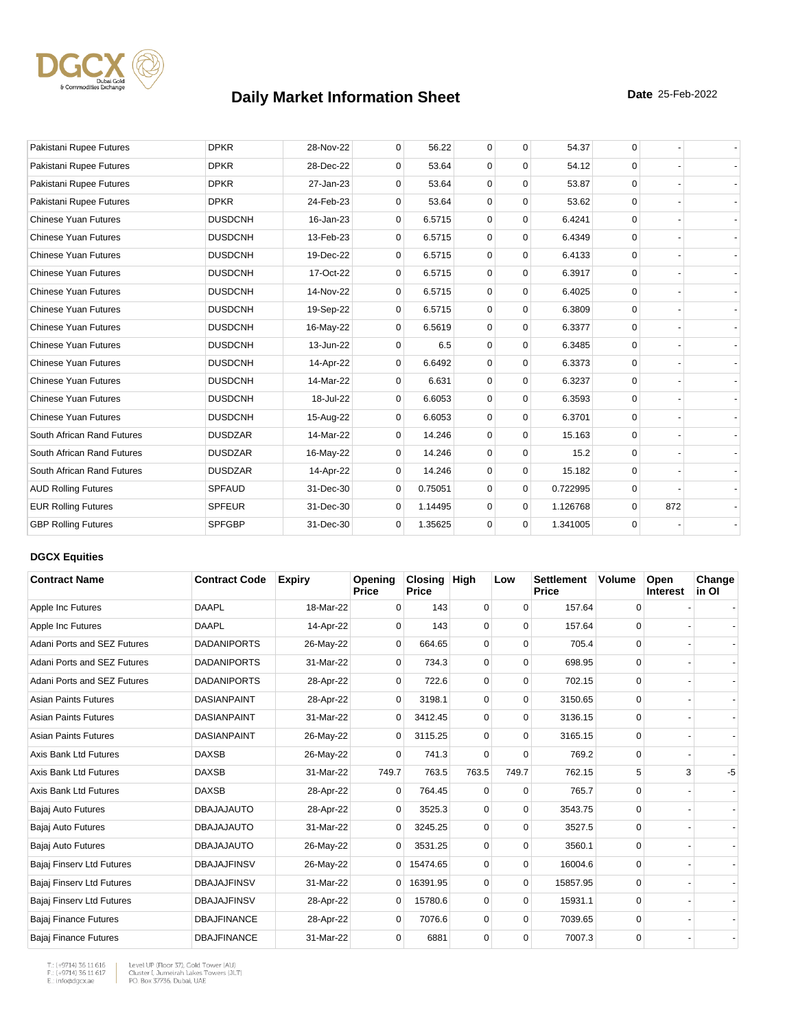

| Pakistani Rupee Futures     | <b>DPKR</b>    | 28-Nov-22 | $\mathbf 0$  | 56.22   | $\mathbf 0$ | $\mathbf 0$ | 54.37    | 0        |     |  |
|-----------------------------|----------------|-----------|--------------|---------|-------------|-------------|----------|----------|-----|--|
| Pakistani Rupee Futures     | <b>DPKR</b>    | 28-Dec-22 | $\Omega$     | 53.64   | $\mathbf 0$ | $\Omega$    | 54.12    | $\Omega$ |     |  |
| Pakistani Rupee Futures     | <b>DPKR</b>    | 27-Jan-23 | $\mathbf 0$  | 53.64   | $\mathbf 0$ | $\mathbf 0$ | 53.87    | $\Omega$ |     |  |
| Pakistani Rupee Futures     | <b>DPKR</b>    | 24-Feb-23 | 0            | 53.64   | $\mathbf 0$ | $\mathbf 0$ | 53.62    | $\Omega$ |     |  |
| <b>Chinese Yuan Futures</b> | <b>DUSDCNH</b> | 16-Jan-23 | $\mathbf{0}$ | 6.5715  | $\mathbf 0$ | $\mathbf 0$ | 6.4241   | $\Omega$ |     |  |
| <b>Chinese Yuan Futures</b> | <b>DUSDCNH</b> | 13-Feb-23 | 0            | 6.5715  | $\mathbf 0$ | $\mathbf 0$ | 6.4349   | $\Omega$ |     |  |
| <b>Chinese Yuan Futures</b> | <b>DUSDCNH</b> | 19-Dec-22 | 0            | 6.5715  | $\mathbf 0$ | $\mathbf 0$ | 6.4133   | $\Omega$ |     |  |
| <b>Chinese Yuan Futures</b> | <b>DUSDCNH</b> | 17-Oct-22 | $\mathbf{0}$ | 6.5715  | $\mathbf 0$ | $\mathbf 0$ | 6.3917   | $\Omega$ |     |  |
| <b>Chinese Yuan Futures</b> | <b>DUSDCNH</b> | 14-Nov-22 | $\Omega$     | 6.5715  | $\mathbf 0$ | $\Omega$    | 6.4025   | $\Omega$ |     |  |
| <b>Chinese Yuan Futures</b> | <b>DUSDCNH</b> | 19-Sep-22 | $\mathbf{0}$ | 6.5715  | $\mathbf 0$ | $\mathbf 0$ | 6.3809   | $\Omega$ |     |  |
| <b>Chinese Yuan Futures</b> | <b>DUSDCNH</b> | 16-May-22 | 0            | 6.5619  | $\mathbf 0$ | $\mathbf 0$ | 6.3377   | $\Omega$ |     |  |
| <b>Chinese Yuan Futures</b> | <b>DUSDCNH</b> | 13-Jun-22 | $\Omega$     | 6.5     | $\mathbf 0$ | $\mathbf 0$ | 6.3485   | $\Omega$ |     |  |
| <b>Chinese Yuan Futures</b> | <b>DUSDCNH</b> | 14-Apr-22 | 0            | 6.6492  | $\mathbf 0$ | $\mathbf 0$ | 6.3373   | $\Omega$ |     |  |
| <b>Chinese Yuan Futures</b> | <b>DUSDCNH</b> | 14-Mar-22 | $\Omega$     | 6.631   | $\mathbf 0$ | $\mathbf 0$ | 6.3237   | $\Omega$ |     |  |
| <b>Chinese Yuan Futures</b> | <b>DUSDCNH</b> | 18-Jul-22 | $\mathbf{0}$ | 6.6053  | $\mathbf 0$ | $\mathbf 0$ | 6.3593   | $\Omega$ |     |  |
| <b>Chinese Yuan Futures</b> | <b>DUSDCNH</b> | 15-Aug-22 | 0            | 6.6053  | $\mathbf 0$ | $\Omega$    | 6.3701   | $\Omega$ |     |  |
| South African Rand Futures  | <b>DUSDZAR</b> | 14-Mar-22 | 0            | 14.246  | $\mathbf 0$ | $\mathbf 0$ | 15.163   | $\Omega$ |     |  |
| South African Rand Futures  | <b>DUSDZAR</b> | 16-May-22 | $\mathbf 0$  | 14.246  | $\mathbf 0$ | $\mathbf 0$ | 15.2     | $\Omega$ |     |  |
| South African Rand Futures  | <b>DUSDZAR</b> | 14-Apr-22 | $\Omega$     | 14.246  | $\mathbf 0$ | $\mathbf 0$ | 15.182   | $\Omega$ |     |  |
| <b>AUD Rolling Futures</b>  | <b>SPFAUD</b>  | 31-Dec-30 | $\mathbf 0$  | 0.75051 | $\Omega$    | $\mathbf 0$ | 0.722995 | $\Omega$ |     |  |
| <b>EUR Rolling Futures</b>  | <b>SPFEUR</b>  | 31-Dec-30 | $\Omega$     | 1.14495 | $\mathbf 0$ | $\mathbf 0$ | 1.126768 | $\Omega$ | 872 |  |
| <b>GBP Rolling Futures</b>  | <b>SPFGBP</b>  | 31-Dec-30 | $\mathbf{0}$ | 1.35625 | $\mathbf 0$ | $\mathbf 0$ | 1.341005 | $\Omega$ |     |  |

#### **DGCX Equities**

| <b>Contract Name</b>         | <b>Contract Code</b> | <b>Expiry</b> | Opening<br><b>Price</b> | Closing<br><b>Price</b> | <b>High</b> | Low         | <b>Settlement</b><br>Price | <b>Volume</b> | Open<br><b>Interest</b> | Change<br>in OI |
|------------------------------|----------------------|---------------|-------------------------|-------------------------|-------------|-------------|----------------------------|---------------|-------------------------|-----------------|
| Apple Inc Futures            | <b>DAAPL</b>         | 18-Mar-22     | $\Omega$                | 143                     | 0           | $\Omega$    | 157.64                     | 0             |                         |                 |
| Apple Inc Futures            | <b>DAAPL</b>         | 14-Apr-22     | $\Omega$                | 143                     | 0           | $\Omega$    | 157.64                     | 0             |                         |                 |
| Adani Ports and SEZ Futures  | <b>DADANIPORTS</b>   | 26-May-22     | 0                       | 664.65                  | $\mathbf 0$ | 0           | 705.4                      | $\mathbf 0$   |                         |                 |
| Adani Ports and SEZ Futures  | <b>DADANIPORTS</b>   | 31-Mar-22     | $\Omega$                | 734.3                   | 0           | $\Omega$    | 698.95                     | 0             |                         |                 |
| Adani Ports and SEZ Futures  | <b>DADANIPORTS</b>   | 28-Apr-22     | 0                       | 722.6                   | 0           | 0           | 702.15                     | 0             |                         |                 |
| <b>Asian Paints Futures</b>  | <b>DASIANPAINT</b>   | 28-Apr-22     | $\Omega$                | 3198.1                  | 0           | $\Omega$    | 3150.65                    | 0             |                         |                 |
| <b>Asian Paints Futures</b>  | <b>DASIANPAINT</b>   | 31-Mar-22     | $\mathbf 0$             | 3412.45                 | $\Omega$    | $\Omega$    | 3136.15                    | $\Omega$      |                         |                 |
| <b>Asian Paints Futures</b>  | <b>DASIANPAINT</b>   | 26-May-22     | $\overline{0}$          | 3115.25                 | $\mathbf 0$ | $\mathbf 0$ | 3165.15                    | 0             |                         |                 |
| Axis Bank Ltd Futures        | <b>DAXSB</b>         | 26-May-22     | 0                       | 741.3                   | $\mathbf 0$ | 0           | 769.2                      | $\mathbf 0$   |                         |                 |
| Axis Bank Ltd Futures        | <b>DAXSB</b>         | 31-Mar-22     | 749.7                   | 763.5                   | 763.5       | 749.7       | 762.15                     | 5             | 3                       | -5              |
| Axis Bank Ltd Futures        | <b>DAXSB</b>         | 28-Apr-22     | 0                       | 764.45                  | 0           | 0           | 765.7                      | 0             |                         |                 |
| Bajaj Auto Futures           | <b>DBAJAJAUTO</b>    | 28-Apr-22     | $\Omega$                | 3525.3                  | 0           | $\Omega$    | 3543.75                    | 0             |                         |                 |
| Bajaj Auto Futures           | <b>DBAJAJAUTO</b>    | 31-Mar-22     | $\Omega$                | 3245.25                 | $\Omega$    | $\Omega$    | 3527.5                     | $\Omega$      |                         |                 |
| Bajaj Auto Futures           | <b>DBAJAJAUTO</b>    | 26-May-22     | $\mathbf{0}$            | 3531.25                 | $\mathbf 0$ | 0           | 3560.1                     | 0             |                         |                 |
| Bajaj Finserv Ltd Futures    | <b>DBAJAJFINSV</b>   | 26-May-22     | $\overline{0}$          | 15474.65                | 0           | 0           | 16004.6                    | 0             |                         |                 |
| Bajaj Finserv Ltd Futures    | <b>DBAJAJFINSV</b>   | 31-Mar-22     | $\overline{0}$          | 16391.95                | 0           | $\mathbf 0$ | 15857.95                   | 0             |                         |                 |
| Bajaj Finserv Ltd Futures    | <b>DBAJAJFINSV</b>   | 28-Apr-22     | $\mathbf{0}$            | 15780.6                 | 0           | $\Omega$    | 15931.1                    | 0             |                         |                 |
| Bajaj Finance Futures        | <b>DBAJFINANCE</b>   | 28-Apr-22     | 0                       | 7076.6                  | 0           | $\Omega$    | 7039.65                    | 0             |                         |                 |
| <b>Bajaj Finance Futures</b> | <b>DBAJFINANCE</b>   | 31-Mar-22     | $\Omega$                | 6881                    | 0           | $\Omega$    | 7007.3                     | 0             |                         |                 |

T.: (+9714) 36 11 616<br>F.: (+9714) 36 11 617<br>E.: info@dgcx.ae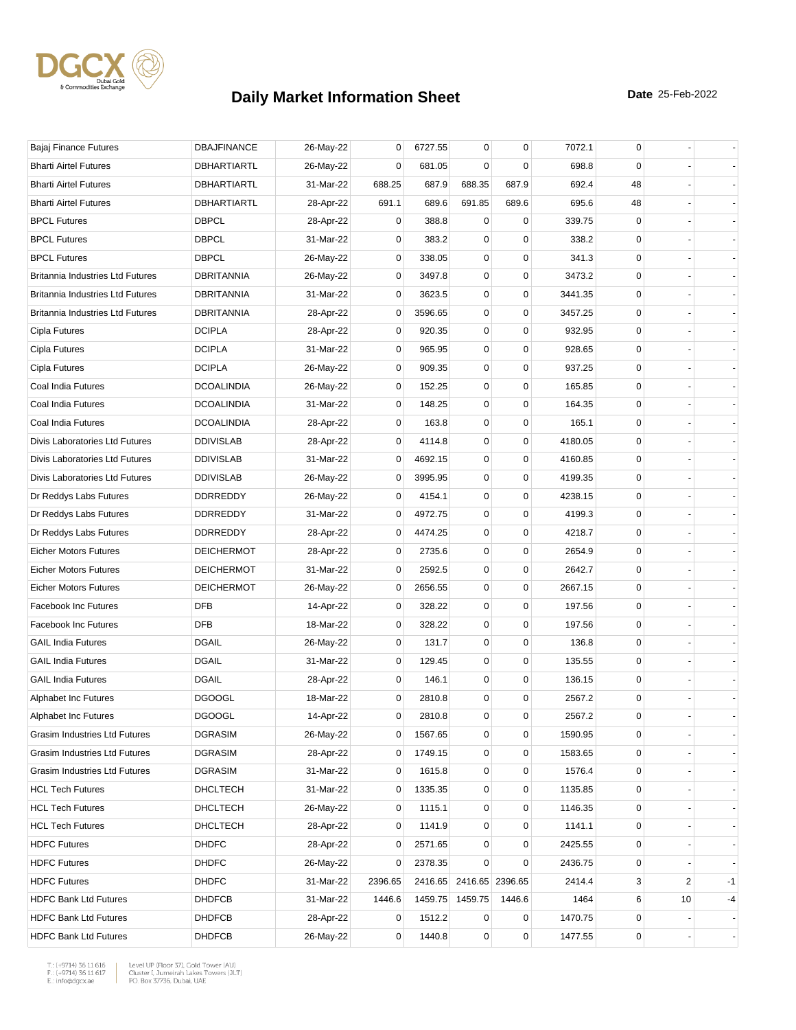

| Bajaj Finance Futures                   | <b>DBAJFINANCE</b> | 26-May-22 | 0              | 6727.55 | $\mathbf 0$     | $\mathbf 0$     | 7072.1  | 0           |    |    |
|-----------------------------------------|--------------------|-----------|----------------|---------|-----------------|-----------------|---------|-------------|----|----|
| <b>Bharti Airtel Futures</b>            | DBHARTIARTL        | 26-May-22 | 0              | 681.05  | 0               | 0               | 698.8   | 0           |    |    |
| <b>Bharti Airtel Futures</b>            | <b>DBHARTIARTL</b> | 31-Mar-22 | 688.25         | 687.9   | 688.35          | 687.9           | 692.4   | 48          |    |    |
| <b>Bharti Airtel Futures</b>            | DBHARTIARTL        | 28-Apr-22 | 691.1          | 689.6   | 691.85          | 689.6           | 695.6   | 48          |    |    |
| <b>BPCL Futures</b>                     | <b>DBPCL</b>       | 28-Apr-22 | 0              | 388.8   | 0               | 0               | 339.75  | 0           |    |    |
| <b>BPCL Futures</b>                     | <b>DBPCL</b>       | 31-Mar-22 | 0              | 383.2   | 0               | $\mathbf 0$     | 338.2   | 0           |    |    |
| <b>BPCL Futures</b>                     | <b>DBPCL</b>       | 26-May-22 | 0              | 338.05  | 0               | $\mathbf 0$     | 341.3   | 0           |    |    |
| <b>Britannia Industries Ltd Futures</b> | <b>DBRITANNIA</b>  | 26-May-22 | 0              | 3497.8  | 0               | 0               | 3473.2  | 0           |    |    |
| Britannia Industries Ltd Futures        | DBRITANNIA         | 31-Mar-22 | 0              | 3623.5  | 0               | $\mathbf 0$     | 3441.35 | 0           |    |    |
| <b>Britannia Industries Ltd Futures</b> | <b>DBRITANNIA</b>  | 28-Apr-22 | 0              | 3596.65 | $\pmb{0}$       | $\mathbf 0$     | 3457.25 | 0           |    |    |
| Cipla Futures                           | <b>DCIPLA</b>      | 28-Apr-22 | 0              | 920.35  | 0               | $\mathbf 0$     | 932.95  | 0           |    |    |
| Cipla Futures                           | <b>DCIPLA</b>      | 31-Mar-22 | 0              | 965.95  | 0               | $\mathbf 0$     | 928.65  | 0           |    |    |
| Cipla Futures                           | <b>DCIPLA</b>      | 26-May-22 | 0              | 909.35  | 0               | $\mathbf 0$     | 937.25  | 0           |    |    |
| Coal India Futures                      | <b>DCOALINDIA</b>  | 26-May-22 | 0              | 152.25  | 0               | 0               | 165.85  | 0           |    |    |
| Coal India Futures                      | <b>DCOALINDIA</b>  | 31-Mar-22 | 0              | 148.25  | 0               | $\mathbf 0$     | 164.35  | 0           |    |    |
| Coal India Futures                      | <b>DCOALINDIA</b>  | 28-Apr-22 | 0              | 163.8   | 0               | $\mathbf 0$     | 165.1   | 0           |    |    |
| Divis Laboratories Ltd Futures          | <b>DDIVISLAB</b>   | 28-Apr-22 | 0              | 4114.8  | 0               | $\mathbf 0$     | 4180.05 | 0           |    |    |
| Divis Laboratories Ltd Futures          | <b>DDIVISLAB</b>   | 31-Mar-22 | 0              | 4692.15 | 0               | $\mathbf 0$     | 4160.85 | 0           |    |    |
| Divis Laboratories Ltd Futures          | <b>DDIVISLAB</b>   | 26-May-22 | 0              | 3995.95 | 0               | 0               | 4199.35 | 0           |    |    |
| Dr Reddys Labs Futures                  | DDRREDDY           | 26-May-22 | 0              | 4154.1  | 0               | $\mathbf 0$     | 4238.15 | $\mathbf 0$ |    |    |
| Dr Reddys Labs Futures                  | DDRREDDY           | 31-Mar-22 | 0              | 4972.75 | $\pmb{0}$       | $\mathbf 0$     | 4199.3  | 0           |    |    |
| Dr Reddys Labs Futures                  | DDRREDDY           | 28-Apr-22 | 0              | 4474.25 | 0               | 0               | 4218.7  | 0           |    |    |
| <b>Eicher Motors Futures</b>            | <b>DEICHERMOT</b>  | 28-Apr-22 | 0              | 2735.6  | 0               | $\mathbf 0$     | 2654.9  | $\mathbf 0$ |    |    |
| <b>Eicher Motors Futures</b>            | <b>DEICHERMOT</b>  | 31-Mar-22 | 0              | 2592.5  | $\mathbf 0$     | $\mathbf 0$     | 2642.7  | 0           |    |    |
| <b>Eicher Motors Futures</b>            | <b>DEICHERMOT</b>  | 26-May-22 | 0              | 2656.55 | 0               | 0               | 2667.15 | 0           |    |    |
| <b>Facebook Inc Futures</b>             | <b>DFB</b>         | 14-Apr-22 | 0              | 328.22  | 0               | $\mathbf 0$     | 197.56  | 0           |    |    |
| Facebook Inc Futures                    | <b>DFB</b>         | 18-Mar-22 | 0              | 328.22  | 0               | $\mathbf 0$     | 197.56  | 0           |    |    |
| <b>GAIL India Futures</b>               | <b>DGAIL</b>       | 26-May-22 | 0              | 131.7   | 0               | $\mathbf 0$     | 136.8   | 0           |    |    |
| <b>GAIL India Futures</b>               | <b>DGAIL</b>       | 31-Mar-22 | 0              | 129.45  | 0               | $\mathbf 0$     | 135.55  | 0           |    |    |
| <b>GAIL India Futures</b>               | <b>DGAIL</b>       | 28-Apr-22 | 0              | 146.1   | 0               | $\mathbf 0$     | 136.15  | 0           |    |    |
| Alphabet Inc Futures                    | <b>DGOOGL</b>      | 18-Mar-22 | 0              | 2810.8  | 0               | 0               | 2567.2  | 0           |    |    |
| Alphabet Inc Futures                    | <b>DGOOGL</b>      | 14-Apr-22 | 0              | 2810.8  | 0               | $\mathbf 0$     | 2567.2  | 0           |    |    |
| Grasim Industries Ltd Futures           | <b>DGRASIM</b>     | 26-May-22 | 0              | 1567.65 | 0               | 0               | 1590.95 | 0           |    |    |
| Grasim Industries Ltd Futures           | <b>DGRASIM</b>     | 28-Apr-22 | 0              | 1749.15 | 0               | $\mathbf 0$     | 1583.65 | 0           |    |    |
| Grasim Industries Ltd Futures           | <b>DGRASIM</b>     | 31-Mar-22 | 0              | 1615.8  | 0               | $\mathbf 0$     | 1576.4  | 0           |    |    |
| <b>HCL Tech Futures</b>                 | DHCLTECH           | 31-Mar-22 | 0              | 1335.35 | 0               | 0               | 1135.85 | 0           |    |    |
| <b>HCL Tech Futures</b>                 | <b>DHCLTECH</b>    | 26-May-22 | 0              | 1115.1  | 0               | 0               | 1146.35 | 0           |    |    |
| <b>HCL Tech Futures</b>                 | DHCLTECH           | 28-Apr-22 | 0              | 1141.9  | 0               | $\mathbf 0$     | 1141.1  | 0           |    |    |
| <b>HDFC Futures</b>                     | <b>DHDFC</b>       | 28-Apr-22 | 0              | 2571.65 | 0               | 0               | 2425.55 | 0           |    |    |
| <b>HDFC Futures</b>                     | <b>DHDFC</b>       | 26-May-22 | 0              | 2378.35 | 0               | $\mathbf 0$     | 2436.75 | 0           |    |    |
| <b>HDFC Futures</b>                     | <b>DHDFC</b>       | 31-Mar-22 | 2396.65        | 2416.65 |                 | 2416.65 2396.65 | 2414.4  | 3           | 2  | -1 |
| <b>HDFC Bank Ltd Futures</b>            | <b>DHDFCB</b>      | 31-Mar-22 | 1446.6         |         | 1459.75 1459.75 | 1446.6          | 1464    | 6           | 10 | -4 |
| <b>HDFC Bank Ltd Futures</b>            | <b>DHDFCB</b>      | 28-Apr-22 | 0              | 1512.2  | 0               | 0               | 1470.75 | 0           |    |    |
| <b>HDFC Bank Ltd Futures</b>            | <b>DHDFCB</b>      | 26-May-22 | $\overline{0}$ | 1440.8  | $\mathbf 0$     | $\pmb{0}$       | 1477.55 | 0           |    |    |
|                                         |                    |           |                |         |                 |                 |         |             |    |    |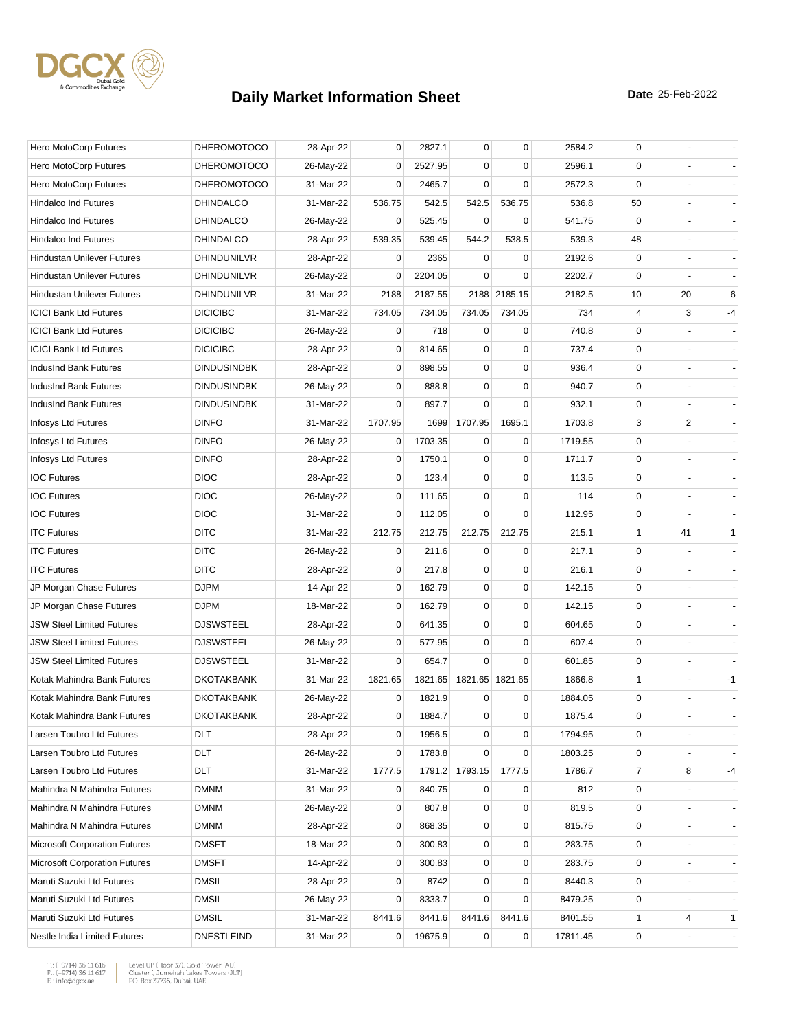

| Hero MotoCorp Futures                | <b>DHEROMOTOCO</b> | 28-Apr-22 | 0              | 2827.1  | 0                       | $\mathbf 0$  | 2584.2   | $\mathbf 0$    |    |              |
|--------------------------------------|--------------------|-----------|----------------|---------|-------------------------|--------------|----------|----------------|----|--------------|
| Hero MotoCorp Futures                | <b>DHEROMOTOCO</b> | 26-May-22 | 0              | 2527.95 | 0                       | 0            | 2596.1   | 0              |    |              |
| Hero MotoCorp Futures                | <b>DHEROMOTOCO</b> | 31-Mar-22 | 0              | 2465.7  | $\Omega$                | $\mathbf 0$  | 2572.3   | $\mathbf 0$    |    |              |
| <b>Hindalco Ind Futures</b>          | <b>DHINDALCO</b>   | 31-Mar-22 | 536.75         | 542.5   | 542.5                   | 536.75       | 536.8    | 50             |    |              |
| <b>Hindalco Ind Futures</b>          | <b>DHINDALCO</b>   | 26-May-22 | 0              | 525.45  | $\mathbf 0$             | 0            | 541.75   | $\mathbf 0$    |    |              |
| <b>Hindalco Ind Futures</b>          | <b>DHINDALCO</b>   | 28-Apr-22 | 539.35         | 539.45  | 544.2                   | 538.5        | 539.3    | 48             |    |              |
| Hindustan Unilever Futures           | DHINDUNILVR        | 28-Apr-22 | 0              | 2365    | 0                       | 0            | 2192.6   | 0              |    |              |
| <b>Hindustan Unilever Futures</b>    | <b>DHINDUNILVR</b> | 26-May-22 | 0              | 2204.05 | $\Omega$                | 0            | 2202.7   | $\mathbf 0$    |    |              |
| <b>Hindustan Unilever Futures</b>    | DHINDUNILVR        | 31-Mar-22 | 2188           | 2187.55 |                         | 2188 2185.15 | 2182.5   | 10             | 20 | 6            |
| <b>ICICI Bank Ltd Futures</b>        | <b>DICICIBC</b>    | 31-Mar-22 | 734.05         | 734.05  | 734.05                  | 734.05       | 734      | 4              | 3  | -4           |
| <b>ICICI Bank Ltd Futures</b>        | <b>DICICIBC</b>    | 26-May-22 | 0              | 718     | 0                       | 0            | 740.8    | 0              |    |              |
| <b>ICICI Bank Ltd Futures</b>        | <b>DICICIBC</b>    | 28-Apr-22 | 0              | 814.65  | 0                       | $\mathbf 0$  | 737.4    | 0              |    |              |
| IndusInd Bank Futures                | <b>DINDUSINDBK</b> | 28-Apr-22 | 0              | 898.55  | $\mathbf 0$             | $\mathbf 0$  | 936.4    | 0              |    |              |
| IndusInd Bank Futures                | <b>DINDUSINDBK</b> | 26-May-22 | 0              | 888.8   | 0                       | $\mathbf 0$  | 940.7    | 0              |    |              |
| IndusInd Bank Futures                | <b>DINDUSINDBK</b> | 31-Mar-22 | 0              | 897.7   | $\mathbf 0$             | $\mathbf 0$  | 932.1    | 0              |    |              |
| Infosys Ltd Futures                  | <b>DINFO</b>       | 31-Mar-22 | 1707.95        | 1699    | 1707.95                 | 1695.1       | 1703.8   | 3              | 2  |              |
| Infosys Ltd Futures                  | <b>DINFO</b>       | 26-May-22 | 0              | 1703.35 | $\mathbf 0$             | 0            | 1719.55  | 0              |    |              |
| Infosys Ltd Futures                  | <b>DINFO</b>       | 28-Apr-22 | 0              | 1750.1  | $\mathbf 0$             | $\mathbf 0$  | 1711.7   | $\mathbf 0$    |    |              |
| <b>IOC Futures</b>                   | <b>DIOC</b>        | 28-Apr-22 | 0              | 123.4   | 0                       | 0            | 113.5    | 0              |    |              |
| <b>IOC Futures</b>                   | <b>DIOC</b>        | 26-May-22 | 0              | 111.65  | $\mathbf 0$             | $\mathbf 0$  | 114      | 0              |    |              |
| <b>IOC Futures</b>                   | <b>DIOC</b>        | 31-Mar-22 | 0              | 112.05  | $\mathbf 0$             | $\mathbf 0$  | 112.95   | 0              |    |              |
| <b>ITC Futures</b>                   | <b>DITC</b>        | 31-Mar-22 | 212.75         | 212.75  | 212.75                  | 212.75       | 215.1    | $\mathbf{1}$   | 41 | $\mathbf{1}$ |
| <b>ITC Futures</b>                   | <b>DITC</b>        | 26-May-22 | 0              | 211.6   | $\mathbf 0$             | $\mathbf 0$  | 217.1    | 0              |    |              |
| <b>ITC Futures</b>                   | <b>DITC</b>        | 28-Apr-22 | 0              | 217.8   | $\mathbf 0$             | $\mathbf 0$  | 216.1    | $\mathbf 0$    |    |              |
| JP Morgan Chase Futures              | <b>DJPM</b>        | 14-Apr-22 | 0              | 162.79  | 0                       | 0            | 142.15   | 0              |    |              |
| JP Morgan Chase Futures              | <b>DJPM</b>        | 18-Mar-22 | 0              | 162.79  | 0                       | $\mathbf 0$  | 142.15   | 0              |    |              |
| <b>JSW Steel Limited Futures</b>     | <b>DJSWSTEEL</b>   | 28-Apr-22 | 0              | 641.35  | 0                       | $\mathbf 0$  | 604.65   | 0              |    |              |
| <b>JSW Steel Limited Futures</b>     | <b>DJSWSTEEL</b>   | 26-May-22 | 0              | 577.95  | 0                       | $\mathbf 0$  | 607.4    | 0              |    |              |
| <b>JSW Steel Limited Futures</b>     | <b>DJSWSTEEL</b>   | 31-Mar-22 | $\Omega$       | 654.7   | $\Omega$                | $\Omega$     | 601.85   | 0              |    |              |
| Kotak Mahindra Bank Futures          | <b>DKOTAKBANK</b>  | 31-Mar-22 | 1821.65        |         | 1821.65 1821.65 1821.65 |              | 1866.8   | $\mathbf{1}$   |    | $-1$         |
| Kotak Mahindra Bank Futures          | <b>DKOTAKBANK</b>  | 26-May-22 | 0              | 1821.9  | 0                       | 0            | 1884.05  | 0              |    |              |
| Kotak Mahindra Bank Futures          | <b>DKOTAKBANK</b>  | 28-Apr-22 | 0              | 1884.7  | 0                       | 0            | 1875.4   | 0              |    |              |
| Larsen Toubro Ltd Futures            | <b>DLT</b>         | 28-Apr-22 | 0              | 1956.5  | 0                       | 0            | 1794.95  | 0              |    |              |
| Larsen Toubro Ltd Futures            | DLT                | 26-May-22 | 0              | 1783.8  | $\mathbf 0$             | $\mathbf 0$  | 1803.25  | 0              |    |              |
| Larsen Toubro Ltd Futures            | <b>DLT</b>         | 31-Mar-22 | 1777.5         |         | 1791.2 1793.15          | 1777.5       | 1786.7   | $\overline{7}$ | 8  | -4           |
| Mahindra N Mahindra Futures          | <b>DMNM</b>        | 31-Mar-22 | 0              | 840.75  | 0                       | 0            | 812      | 0              |    |              |
| Mahindra N Mahindra Futures          | <b>DMNM</b>        | 26-May-22 | 0              | 807.8   | 0                       | $\mathbf 0$  | 819.5    | 0              |    |              |
| Mahindra N Mahindra Futures          | <b>DMNM</b>        | 28-Apr-22 | 0              | 868.35  | 0                       | $\pmb{0}$    | 815.75   | 0              |    |              |
| <b>Microsoft Corporation Futures</b> | <b>DMSFT</b>       | 18-Mar-22 | 0              | 300.83  | 0                       | 0            | 283.75   | 0              |    |              |
| <b>Microsoft Corporation Futures</b> | <b>DMSFT</b>       | 14-Apr-22 | 0              | 300.83  | 0                       | $\mathbf 0$  | 283.75   | 0              |    |              |
| Maruti Suzuki Ltd Futures            | <b>DMSIL</b>       | 28-Apr-22 | 0              | 8742    | $\mathbf 0$             | $\pmb{0}$    | 8440.3   | 0              |    |              |
| Maruti Suzuki Ltd Futures            | <b>DMSIL</b>       | 26-May-22 | 0              | 8333.7  | 0                       | 0            | 8479.25  | 0              |    |              |
| Maruti Suzuki Ltd Futures            | <b>DMSIL</b>       | 31-Mar-22 | 8441.6         | 8441.6  | 8441.6                  | 8441.6       | 8401.55  | 1              | 4  | $\mathbf{1}$ |
| Nestle India Limited Futures         | <b>DNESTLEIND</b>  | 31-Mar-22 | $\overline{0}$ | 19675.9 | $\mathbf 0$             | $\pmb{0}$    | 17811.45 | 0              |    |              |

 $\begin{tabular}{|l|l|l|l|} \hline $\mathsf{T}$: $(+9714)$ 36 11 616 & \textit{Level UP (Flow 37)},\textit{Gold Tower (AU)}$ \\ \hline \multicolumn{3}{|l|}{\mathsf{F}}:\\ $(+9714)$ 36 11 617 & \textit{Cluster I, Jumerirah Lakes Tower (JUT)}$ \\ \multicolumn{3}{|l|}{\mathsf{E}}:\\ $\text{infogdgcxae}$ & \multicolumn{3}{|l|}{\mathsf{PO}}. \textit{Box 37736, Dubai, UAE} \hline \end{tabular}$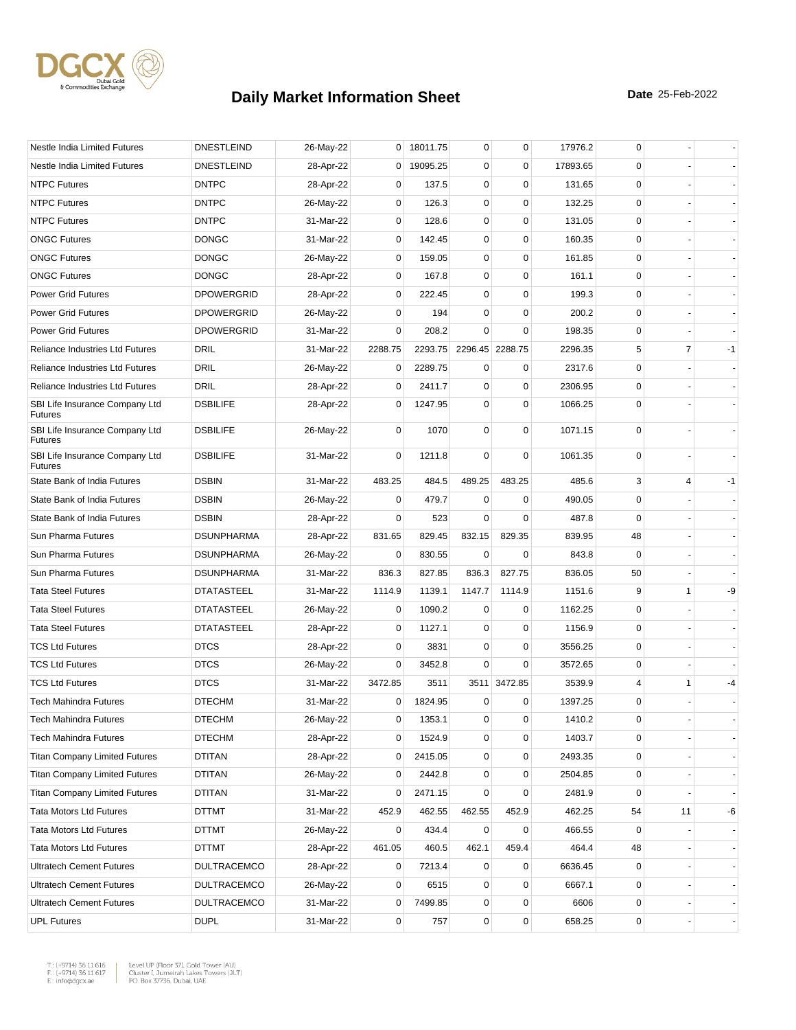

| Nestle India Limited Futures                     | <b>DNESTLEIND</b>  | 26-May-22 |                | 0 18011.75 | 0           | $\mathbf 0$     | 17976.2  | 0           |                |      |
|--------------------------------------------------|--------------------|-----------|----------------|------------|-------------|-----------------|----------|-------------|----------------|------|
| Nestle India Limited Futures                     | <b>DNESTLEIND</b>  | 28-Apr-22 | $\overline{0}$ | 19095.25   | 0           | $\mathbf 0$     | 17893.65 | 0           |                |      |
| <b>NTPC Futures</b>                              | <b>DNTPC</b>       | 28-Apr-22 | 0              | 137.5      | 0           | $\mathbf 0$     | 131.65   | 0           |                |      |
| <b>NTPC Futures</b>                              | <b>DNTPC</b>       | 26-May-22 | 0              | 126.3      | 0           | $\mathbf 0$     | 132.25   | $\mathbf 0$ |                |      |
| <b>NTPC Futures</b>                              | <b>DNTPC</b>       | 31-Mar-22 | 0              | 128.6      | 0           | $\mathbf 0$     | 131.05   | 0           |                |      |
| <b>ONGC Futures</b>                              | <b>DONGC</b>       | 31-Mar-22 | 0              | 142.45     | 0           | $\mathbf 0$     | 160.35   | 0           |                |      |
| <b>ONGC Futures</b>                              | <b>DONGC</b>       | 26-May-22 | 0              | 159.05     | $\mathbf 0$ | $\mathbf 0$     | 161.85   | 0           |                |      |
| <b>ONGC Futures</b>                              | <b>DONGC</b>       | 28-Apr-22 | 0              | 167.8      | 0           | 0               | 161.1    | 0           |                |      |
| <b>Power Grid Futures</b>                        | <b>DPOWERGRID</b>  | 28-Apr-22 | 0              | 222.45     | 0           | $\mathbf 0$     | 199.3    | $\mathbf 0$ |                |      |
| <b>Power Grid Futures</b>                        | <b>DPOWERGRID</b>  | 26-May-22 | 0              | 194        | 0           | $\mathbf 0$     | 200.2    | 0           |                |      |
| <b>Power Grid Futures</b>                        | <b>DPOWERGRID</b>  | 31-Mar-22 | 0              | 208.2      | $\Omega$    | $\mathbf 0$     | 198.35   | 0           |                |      |
| <b>Reliance Industries Ltd Futures</b>           | DRIL               | 31-Mar-22 | 2288.75        | 2293.75    |             | 2296.45 2288.75 | 2296.35  | 5           | $\overline{7}$ | $-1$ |
| <b>Reliance Industries Ltd Futures</b>           | DRIL               | 26-May-22 | 0              | 2289.75    | 0           | 0               | 2317.6   | 0           |                |      |
| <b>Reliance Industries Ltd Futures</b>           | <b>DRIL</b>        | 28-Apr-22 | 0              | 2411.7     | 0           | $\mathbf 0$     | 2306.95  | 0           |                |      |
| SBI Life Insurance Company Ltd<br><b>Futures</b> | <b>DSBILIFE</b>    | 28-Apr-22 | 0              | 1247.95    | $\mathbf 0$ | $\mathbf 0$     | 1066.25  | $\mathbf 0$ |                |      |
| SBI Life Insurance Company Ltd<br><b>Futures</b> | <b>DSBILIFE</b>    | 26-May-22 | 0              | 1070       | 0           | 0               | 1071.15  | 0           |                |      |
| SBI Life Insurance Company Ltd<br><b>Futures</b> | <b>DSBILIFE</b>    | 31-Mar-22 | 0              | 1211.8     | 0           | $\mathbf 0$     | 1061.35  | 0           |                |      |
| State Bank of India Futures                      | <b>DSBIN</b>       | 31-Mar-22 | 483.25         | 484.5      | 489.25      | 483.25          | 485.6    | 3           | 4              | $-1$ |
| State Bank of India Futures                      | <b>DSBIN</b>       | 26-May-22 | 0              | 479.7      | 0           | 0               | 490.05   | 0           |                |      |
| State Bank of India Futures                      | <b>DSBIN</b>       | 28-Apr-22 | 0              | 523        | $\Omega$    | $\mathbf 0$     | 487.8    | 0           |                |      |
| Sun Pharma Futures                               | <b>DSUNPHARMA</b>  | 28-Apr-22 | 831.65         | 829.45     | 832.15      | 829.35          | 839.95   | 48          |                |      |
| Sun Pharma Futures                               | <b>DSUNPHARMA</b>  | 26-May-22 | 0              | 830.55     | $\mathbf 0$ | 0               | 843.8    | 0           |                |      |
| Sun Pharma Futures                               | <b>DSUNPHARMA</b>  | 31-Mar-22 | 836.3          | 827.85     | 836.3       | 827.75          | 836.05   | 50          |                |      |
| <b>Tata Steel Futures</b>                        | <b>DTATASTEEL</b>  | 31-Mar-22 | 1114.9         | 1139.1     | 1147.7      | 1114.9          | 1151.6   | 9           | 1              | -9   |
| <b>Tata Steel Futures</b>                        | <b>DTATASTEEL</b>  | 26-May-22 | 0              | 1090.2     | 0           | 0               | 1162.25  | 0           |                |      |
| <b>Tata Steel Futures</b>                        | <b>DTATASTEEL</b>  | 28-Apr-22 | 0              | 1127.1     | 0           | $\mathbf 0$     | 1156.9   | 0           |                |      |
| <b>TCS Ltd Futures</b>                           | <b>DTCS</b>        | 28-Apr-22 | 0              | 3831       | $\mathbf 0$ | $\mathbf 0$     | 3556.25  | $\mathbf 0$ |                |      |
| <b>TCS Ltd Futures</b>                           | <b>DTCS</b>        | 26-May-22 | 0              | 3452.8     | $\mathbf 0$ | 0               | 3572.65  | 0           |                |      |
| <b>TCS Ltd Futures</b>                           | <b>DTCS</b>        | 31-Mar-22 | 3472.85        | 3511       |             | 3511 3472.85    | 3539.9   | 4           | 1              | -4   |
| <b>Tech Mahindra Futures</b>                     | <b>DTECHM</b>      | 31-Mar-22 | 0              | 1824.95    | 0           | 0               | 1397.25  | 0           |                |      |
| Tech Mahindra Futures                            | <b>DTECHM</b>      | 26-May-22 | 0              | 1353.1     | 0           | 0               | 1410.2   | $\Omega$    |                |      |
| Tech Mahindra Futures                            | <b>DTECHM</b>      | 28-Apr-22 | 0              | 1524.9     | 0           | $\mathbf 0$     | 1403.7   | 0           |                |      |
| <b>Titan Company Limited Futures</b>             | DTITAN             | 28-Apr-22 | 0              | 2415.05    | 0           | $\pmb{0}$       | 2493.35  | 0           |                |      |
| <b>Titan Company Limited Futures</b>             | <b>DTITAN</b>      | 26-May-22 | 0              | 2442.8     | 0           | $\mathbf 0$     | 2504.85  | 0           |                |      |
| <b>Titan Company Limited Futures</b>             | DTITAN             | 31-Mar-22 | 0              | 2471.15    | 0           | 0               | 2481.9   | 0           |                |      |
| <b>Tata Motors Ltd Futures</b>                   | DTTMT              | 31-Mar-22 | 452.9          | 462.55     | 462.55      | 452.9           | 462.25   | 54          | 11             | -6   |
| <b>Tata Motors Ltd Futures</b>                   | DTTMT              | 26-May-22 | 0              | 434.4      | 0           | $\mathbf 0$     | 466.55   | 0           |                |      |
| <b>Tata Motors Ltd Futures</b>                   | DTTMT              | 28-Apr-22 | 461.05         | 460.5      | 462.1       | 459.4           | 464.4    | 48          |                |      |
| <b>Ultratech Cement Futures</b>                  | DULTRACEMCO        | 28-Apr-22 | 0              | 7213.4     | 0           | 0               | 6636.45  | 0           |                |      |
| <b>Ultratech Cement Futures</b>                  | <b>DULTRACEMCO</b> | 26-May-22 | 0              | 6515       | 0           | 0               | 6667.1   | 0           |                |      |
| <b>Ultratech Cement Futures</b>                  | <b>DULTRACEMCO</b> | 31-Mar-22 | $\mathbf{0}$   | 7499.85    | 0           | $\pmb{0}$       | 6606     | 0           |                |      |
| <b>UPL Futures</b>                               | <b>DUPL</b>        | 31-Mar-22 | 0              | 757        | 0           | $\pmb{0}$       | 658.25   | 0           |                |      |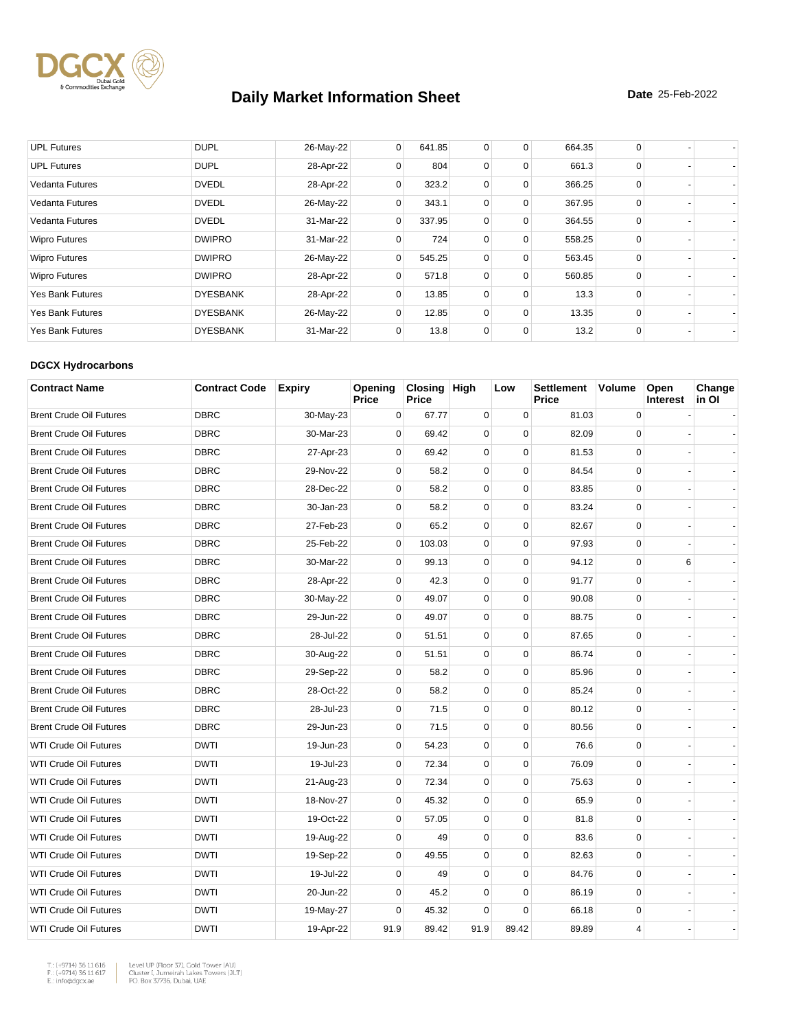

| <b>UPL Futures</b>      | <b>DUPL</b>     | 26-May-22 | $\overline{0}$ | 641.85 | 0           | 0        | 664.35 | 0        |  |
|-------------------------|-----------------|-----------|----------------|--------|-------------|----------|--------|----------|--|
| <b>UPL Futures</b>      | <b>DUPL</b>     | 28-Apr-22 | 0              | 804    | 0           | 0        | 661.3  | 0        |  |
| <b>Vedanta Futures</b>  | <b>DVEDL</b>    | 28-Apr-22 | 0              | 323.2  | 0           | 0        | 366.25 | 0        |  |
| <b>Vedanta Futures</b>  | <b>DVEDL</b>    | 26-May-22 | 0              | 343.1  | 0           | 0        | 367.95 | 0        |  |
| Vedanta Futures         | <b>DVEDL</b>    | 31-Mar-22 | 0              | 337.95 | $\mathbf 0$ | 0        | 364.55 | 0        |  |
| <b>Wipro Futures</b>    | <b>DWIPRO</b>   | 31-Mar-22 | $\Omega$       | 724    | 0           | 0        | 558.25 | 0        |  |
| <b>Wipro Futures</b>    | <b>DWIPRO</b>   | 26-May-22 | 0              | 545.25 | $\mathbf 0$ | 0        | 563.45 | $\Omega$ |  |
| <b>Wipro Futures</b>    | <b>DWIPRO</b>   | 28-Apr-22 | 0              | 571.8  | 0           | 0        | 560.85 | $\Omega$ |  |
| <b>Yes Bank Futures</b> | <b>DYESBANK</b> | 28-Apr-22 | 0              | 13.85  | $\mathbf 0$ | $\Omega$ | 13.3   | $\Omega$ |  |
| <b>Yes Bank Futures</b> | <b>DYESBANK</b> | 26-May-22 | 0              | 12.85  | 0           | 0        | 13.35  | 0        |  |
| <b>Yes Bank Futures</b> | <b>DYESBANK</b> | 31-Mar-22 | 0              | 13.8   | $\mathbf 0$ | 0        | 13.2   | 0        |  |

#### **DGCX Hydrocarbons**

| <b>Contract Name</b>           | <b>Contract Code</b> | <b>Expiry</b> | Opening<br>Price | Closing High<br>Price |             | Low         | <b>Settlement</b><br>Price | <b>Volume</b> | Open<br><b>Interest</b> | Change<br>in Ol |
|--------------------------------|----------------------|---------------|------------------|-----------------------|-------------|-------------|----------------------------|---------------|-------------------------|-----------------|
| <b>Brent Crude Oil Futures</b> | <b>DBRC</b>          | 30-May-23     | $\mathbf 0$      | 67.77                 | $\mathbf 0$ | 0           | 81.03                      | $\mathbf 0$   |                         |                 |
| <b>Brent Crude Oil Futures</b> | <b>DBRC</b>          | 30-Mar-23     | $\Omega$         | 69.42                 | $\Omega$    | $\Omega$    | 82.09                      | $\Omega$      |                         |                 |
| <b>Brent Crude Oil Futures</b> | <b>DBRC</b>          | 27-Apr-23     | $\pmb{0}$        | 69.42                 | $\mathbf 0$ | $\mathbf 0$ | 81.53                      | $\mathbf 0$   |                         |                 |
| <b>Brent Crude Oil Futures</b> | <b>DBRC</b>          | 29-Nov-22     | $\mathbf 0$      | 58.2                  | $\mathbf 0$ | $\mathbf 0$ | 84.54                      | $\mathbf 0$   |                         |                 |
| <b>Brent Crude Oil Futures</b> | <b>DBRC</b>          | 28-Dec-22     | $\mathbf 0$      | 58.2                  | $\mathbf 0$ | $\mathbf 0$ | 83.85                      | $\mathbf 0$   |                         |                 |
| <b>Brent Crude Oil Futures</b> | <b>DBRC</b>          | 30-Jan-23     | $\mathbf 0$      | 58.2                  | $\pmb{0}$   | 0           | 83.24                      | $\mathbf 0$   |                         |                 |
| <b>Brent Crude Oil Futures</b> | <b>DBRC</b>          | 27-Feb-23     | $\Omega$         | 65.2                  | $\mathbf 0$ | $\mathbf 0$ | 82.67                      | $\mathbf 0$   |                         |                 |
| <b>Brent Crude Oil Futures</b> | <b>DBRC</b>          | 25-Feb-22     | $\pmb{0}$        | 103.03                | $\pmb{0}$   | $\mathbf 0$ | 97.93                      | $\pmb{0}$     |                         |                 |
| <b>Brent Crude Oil Futures</b> | <b>DBRC</b>          | 30-Mar-22     | $\mathbf 0$      | 99.13                 | $\pmb{0}$   | $\mathbf 0$ | 94.12                      | $\mathbf 0$   | 6                       |                 |
| <b>Brent Crude Oil Futures</b> | <b>DBRC</b>          | 28-Apr-22     | $\Omega$         | 42.3                  | $\mathbf 0$ | $\Omega$    | 91.77                      | $\Omega$      |                         |                 |
| <b>Brent Crude Oil Futures</b> | <b>DBRC</b>          | 30-May-22     | $\mathbf 0$      | 49.07                 | $\pmb{0}$   | $\mathbf 0$ | 90.08                      | $\mathbf 0$   |                         |                 |
| <b>Brent Crude Oil Futures</b> | <b>DBRC</b>          | 29-Jun-22     | $\mathbf 0$      | 49.07                 | $\mathbf 0$ | $\mathbf 0$ | 88.75                      | $\mathbf 0$   |                         |                 |
| <b>Brent Crude Oil Futures</b> | <b>DBRC</b>          | 28-Jul-22     | $\mathbf 0$      | 51.51                 | $\pmb{0}$   | $\mathbf 0$ | 87.65                      | $\mathbf 0$   |                         |                 |
| <b>Brent Crude Oil Futures</b> | <b>DBRC</b>          | 30-Aug-22     | $\mathbf 0$      | 51.51                 | $\mathbf 0$ | $\mathbf 0$ | 86.74                      | $\mathbf 0$   |                         |                 |
| <b>Brent Crude Oil Futures</b> | <b>DBRC</b>          | 29-Sep-22     | $\mathbf 0$      | 58.2                  | $\mathbf 0$ | $\mathbf 0$ | 85.96                      | $\mathbf 0$   |                         |                 |
| <b>Brent Crude Oil Futures</b> | <b>DBRC</b>          | 28-Oct-22     | $\mathbf 0$      | 58.2                  | $\mathbf 0$ | $\mathbf 0$ | 85.24                      | $\mathbf 0$   |                         |                 |
| <b>Brent Crude Oil Futures</b> | <b>DBRC</b>          | 28-Jul-23     | $\mathbf 0$      | 71.5                  | $\pmb{0}$   | $\mathbf 0$ | 80.12                      | $\mathbf 0$   |                         |                 |
| <b>Brent Crude Oil Futures</b> | <b>DBRC</b>          | 29-Jun-23     | $\mathbf 0$      | 71.5                  | $\pmb{0}$   | $\mathbf 0$ | 80.56                      | $\mathbf 0$   |                         |                 |
| <b>WTI Crude Oil Futures</b>   | <b>DWTI</b>          | 19-Jun-23     | $\mathbf 0$      | 54.23                 | $\pmb{0}$   | $\mathbf 0$ | 76.6                       | $\mathbf 0$   |                         |                 |
| <b>WTI Crude Oil Futures</b>   | <b>DWTI</b>          | 19-Jul-23     | $\mathbf 0$      | 72.34                 | $\mathbf 0$ | $\mathbf 0$ | 76.09                      | $\mathbf 0$   |                         |                 |
| <b>WTI Crude Oil Futures</b>   | <b>DWTI</b>          | 21-Aug-23     | $\mathbf 0$      | 72.34                 | $\mathbf 0$ | $\Omega$    | 75.63                      | $\mathbf 0$   |                         |                 |
| WTI Crude Oil Futures          | <b>DWTI</b>          | 18-Nov-27     | $\mathbf 0$      | 45.32                 | $\pmb{0}$   | $\mathbf 0$ | 65.9                       | $\pmb{0}$     |                         |                 |
| <b>WTI Crude Oil Futures</b>   | <b>DWTI</b>          | 19-Oct-22     | $\mathbf 0$      | 57.05                 | $\mathbf 0$ | $\mathbf 0$ | 81.8                       | $\mathbf 0$   |                         |                 |
| <b>WTI Crude Oil Futures</b>   | <b>DWTI</b>          | 19-Aug-22     | $\mathbf 0$      | 49                    | $\mathbf 0$ | $\Omega$    | 83.6                       | $\mathbf 0$   |                         |                 |
| <b>WTI Crude Oil Futures</b>   | <b>DWTI</b>          | 19-Sep-22     | $\mathbf 0$      | 49.55                 | $\mathbf 0$ | $\mathbf 0$ | 82.63                      | $\mathbf 0$   |                         |                 |
| <b>WTI Crude Oil Futures</b>   | <b>DWTI</b>          | 19-Jul-22     | $\mathbf 0$      | 49                    | $\mathbf 0$ | $\mathbf 0$ | 84.76                      | $\mathbf 0$   |                         |                 |
| <b>WTI Crude Oil Futures</b>   | <b>DWTI</b>          | 20-Jun-22     | $\mathbf 0$      | 45.2                  | $\mathbf 0$ | $\mathbf 0$ | 86.19                      | $\mathbf 0$   |                         |                 |
| <b>WTI Crude Oil Futures</b>   | <b>DWTI</b>          | 19-May-27     | $\mathbf 0$      | 45.32                 | $\mathbf 0$ | $\mathbf 0$ | 66.18                      | $\mathbf 0$   |                         |                 |
| <b>WTI Crude Oil Futures</b>   | <b>DWTI</b>          | 19-Apr-22     | 91.9             | 89.42                 | 91.9        | 89.42       | 89.89                      | 4             |                         |                 |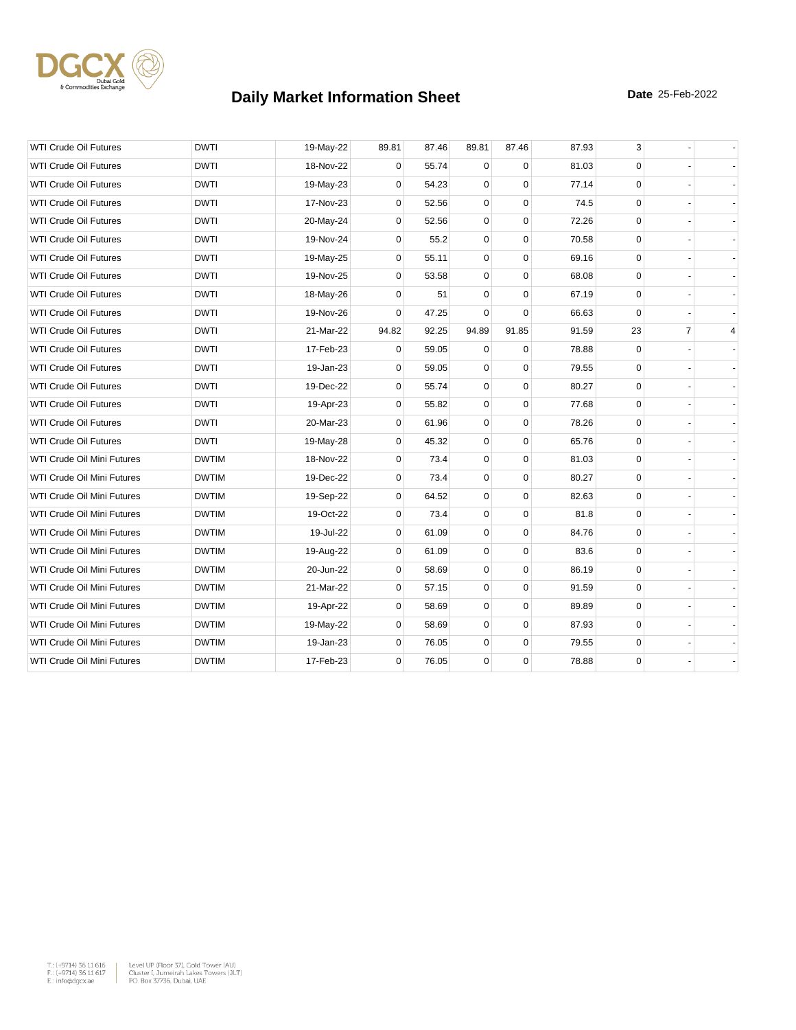

| <b>WTI Crude Oil Futures</b>      | <b>DWTI</b>  | 19-May-22 | 89.81       | 87.46 | 89.81       | 87.46       | 87.93 | 3           |                |   |
|-----------------------------------|--------------|-----------|-------------|-------|-------------|-------------|-------|-------------|----------------|---|
| <b>WTI Crude Oil Futures</b>      | <b>DWTI</b>  | 18-Nov-22 | 0           | 55.74 | $\Omega$    | $\Omega$    | 81.03 | $\mathbf 0$ |                |   |
| <b>WTI Crude Oil Futures</b>      | <b>DWTI</b>  | 19-May-23 | 0           | 54.23 | $\mathbf 0$ | $\Omega$    | 77.14 | $\mathbf 0$ |                |   |
| <b>WTI Crude Oil Futures</b>      | <b>DWTI</b>  | 17-Nov-23 | 0           | 52.56 | 0           | $\mathbf 0$ | 74.5  | 0           |                |   |
| <b>WTI Crude Oil Futures</b>      | <b>DWTI</b>  | 20-May-24 | 0           | 52.56 | 0           | $\mathbf 0$ | 72.26 | $\mathbf 0$ |                |   |
| <b>WTI Crude Oil Futures</b>      | DWTI         | 19-Nov-24 | 0           | 55.2  | $\mathbf 0$ | $\mathbf 0$ | 70.58 | 0           |                |   |
| <b>WTI Crude Oil Futures</b>      | <b>DWTI</b>  | 19-May-25 | 0           | 55.11 | $\mathbf 0$ | $\Omega$    | 69.16 | $\mathbf 0$ |                |   |
| <b>WTI Crude Oil Futures</b>      | <b>DWTI</b>  | 19-Nov-25 | 0           | 53.58 | $\mathbf 0$ | $\mathbf 0$ | 68.08 | 0           |                |   |
| <b>WTI Crude Oil Futures</b>      | <b>DWTI</b>  | 18-May-26 | 0           | 51    | 0           | $\Omega$    | 67.19 | $\mathbf 0$ |                |   |
| <b>WTI Crude Oil Futures</b>      | <b>DWTI</b>  | 19-Nov-26 | 0           | 47.25 | $\mathbf 0$ | $\Omega$    | 66.63 | $\mathbf 0$ |                |   |
| <b>WTI Crude Oil Futures</b>      | <b>DWTI</b>  | 21-Mar-22 | 94.82       | 92.25 | 94.89       | 91.85       | 91.59 | 23          | $\overline{7}$ | 4 |
| <b>WTI Crude Oil Futures</b>      | <b>DWTI</b>  | 17-Feb-23 | 0           | 59.05 | $\mathbf 0$ | $\Omega$    | 78.88 | $\mathbf 0$ |                |   |
| <b>WTI Crude Oil Futures</b>      | <b>DWTI</b>  | 19-Jan-23 | 0           | 59.05 | $\mathbf 0$ | $\mathbf 0$ | 79.55 | 0           |                |   |
| <b>WTI Crude Oil Futures</b>      | <b>DWTI</b>  | 19-Dec-22 | 0           | 55.74 | 0           | $\mathbf 0$ | 80.27 | $\mathbf 0$ |                |   |
| <b>WTI Crude Oil Futures</b>      | <b>DWTI</b>  | 19-Apr-23 | 0           | 55.82 | 0           | $\mathbf 0$ | 77.68 | $\mathbf 0$ |                |   |
| <b>WTI Crude Oil Futures</b>      | <b>DWTI</b>  | 20-Mar-23 | $\mathbf 0$ | 61.96 | 0           | $\mathbf 0$ | 78.26 | $\mathbf 0$ |                |   |
| <b>WTI Crude Oil Futures</b>      | <b>DWTI</b>  | 19-May-28 | 0           | 45.32 | 0           | $\mathbf 0$ | 65.76 | $\mathbf 0$ |                |   |
| WTI Crude Oil Mini Futures        | <b>DWTIM</b> | 18-Nov-22 | 0           | 73.4  | $\mathbf 0$ | $\mathbf 0$ | 81.03 | $\mathbf 0$ |                |   |
| WTI Crude Oil Mini Futures        | <b>DWTIM</b> | 19-Dec-22 | 0           | 73.4  | $\mathbf 0$ | $\Omega$    | 80.27 | $\mathbf 0$ |                |   |
| <b>WTI Crude Oil Mini Futures</b> | <b>DWTIM</b> | 19-Sep-22 | 0           | 64.52 | $\pmb{0}$   | $\mathbf 0$ | 82.63 | $\mathbf 0$ |                |   |
| WTI Crude Oil Mini Futures        | <b>DWTIM</b> | 19-Oct-22 | 0           | 73.4  | 0           | 0           | 81.8  | 0           |                |   |
| WTI Crude Oil Mini Futures        | <b>DWTIM</b> | 19-Jul-22 | 0           | 61.09 | 0           | $\mathbf 0$ | 84.76 | $\mathbf 0$ |                |   |
| WTI Crude Oil Mini Futures        | <b>DWTIM</b> | 19-Aug-22 | $\mathbf 0$ | 61.09 | $\mathbf 0$ | $\mathbf 0$ | 83.6  | $\mathbf 0$ |                |   |
| <b>WTI Crude Oil Mini Futures</b> | <b>DWTIM</b> | 20-Jun-22 | 0           | 58.69 | $\mathbf 0$ | $\Omega$    | 86.19 | $\mathbf 0$ |                |   |
| WTI Crude Oil Mini Futures        | <b>DWTIM</b> | 21-Mar-22 | 0           | 57.15 | 0           | $\mathbf 0$ | 91.59 | 0           |                |   |
| WTI Crude Oil Mini Futures        | <b>DWTIM</b> | 19-Apr-22 | 0           | 58.69 | 0           | $\mathbf 0$ | 89.89 | 0           |                |   |
| WTI Crude Oil Mini Futures        | <b>DWTIM</b> | 19-May-22 | 0           | 58.69 | 0           | $\mathbf 0$ | 87.93 | $\mathbf 0$ |                |   |
| WTI Crude Oil Mini Futures        | <b>DWTIM</b> | 19-Jan-23 | $\mathbf 0$ | 76.05 | 0           | $\mathbf 0$ | 79.55 | 0           |                |   |
| WTI Crude Oil Mini Futures        | <b>DWTIM</b> | 17-Feb-23 | $\mathbf 0$ | 76.05 | 0           | $\mathbf 0$ | 78.88 | $\mathbf 0$ |                |   |

 $\begin{tabular}{|l|l|l|l|} \hline $\mathsf{T}_\circ$ & $\mathsf{+9714}3$ & $\mathsf{5}\mathsf{11}$ & $\mathsf{6}1\mathsf{6}$ & \multicolumn{2}{|l|}{{\mathsf{Level}}} & $\mathsf{Up}$ & $\mathsf{F}|\mathsf{Oor}}$ & $\mathsf{37}\mathsf{,}\mathsf{Oold}$ & $\mathsf{Toover}\mathsf{ (AU)}$ \\ $\mathsf{F}_\circ$ & $\mathsf{+9714}3$ & $\mathsf{5}\mathsf{11}$ & $\mathsf{617}$ & \multicolumn{2}{|l|}{{\mathsf{Clueuler}}} & $\mathsf{Cluster}~\math$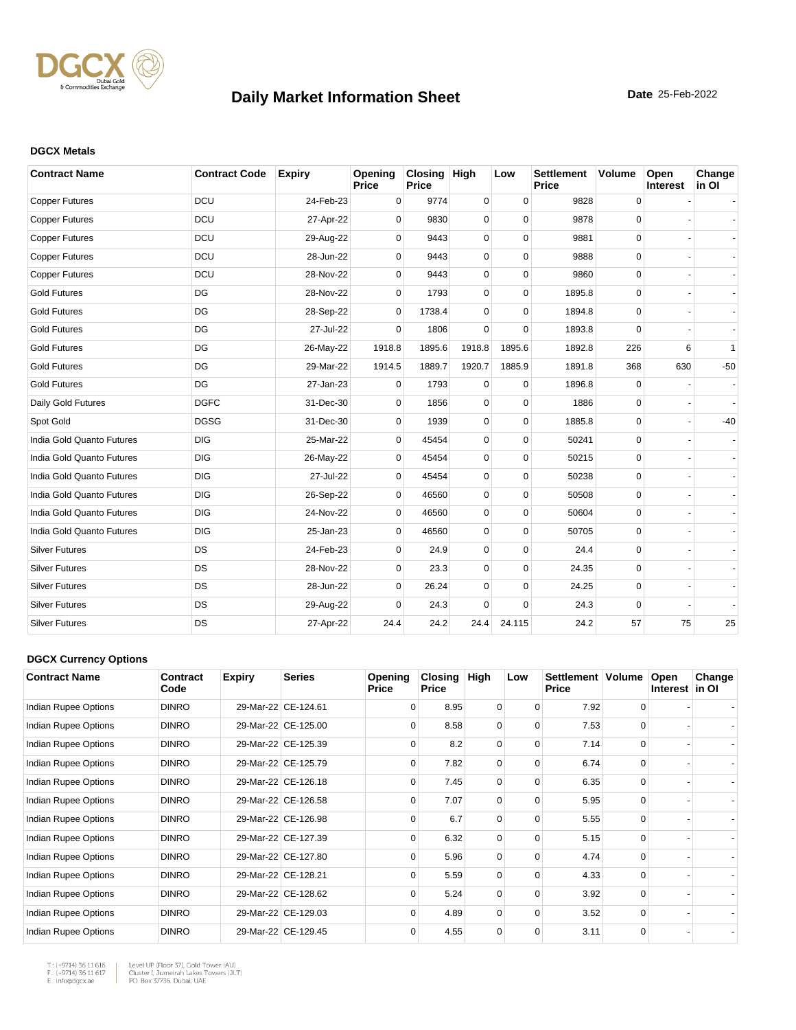

#### **DGCX Metals**

| <b>Contract Name</b>      | <b>Contract Code</b> | <b>Expiry</b> | Opening<br>Price | Closing High<br>Price |             | Low         | <b>Settlement</b><br><b>Price</b> | <b>Volume</b> | Open<br>Interest | Change<br>in OI |
|---------------------------|----------------------|---------------|------------------|-----------------------|-------------|-------------|-----------------------------------|---------------|------------------|-----------------|
| <b>Copper Futures</b>     | DCU                  | 24-Feb-23     | 0                | 9774                  | 0           | $\mathbf 0$ | 9828                              | 0             |                  |                 |
| <b>Copper Futures</b>     | <b>DCU</b>           | 27-Apr-22     | 0                | 9830                  | 0           | $\Omega$    | 9878                              | 0             |                  |                 |
| <b>Copper Futures</b>     | <b>DCU</b>           | 29-Aug-22     | $\Omega$         | 9443                  | 0           | $\Omega$    | 9881                              | 0             |                  |                 |
| <b>Copper Futures</b>     | <b>DCU</b>           | 28-Jun-22     | $\Omega$         | 9443                  | 0           | $\Omega$    | 9888                              | $\mathbf 0$   |                  |                 |
| <b>Copper Futures</b>     | <b>DCU</b>           | 28-Nov-22     | $\Omega$         | 9443                  | 0           | $\Omega$    | 9860                              | 0             |                  |                 |
| <b>Gold Futures</b>       | DG                   | 28-Nov-22     | 0                | 1793                  | 0           | $\mathbf 0$ | 1895.8                            | 0             |                  |                 |
| <b>Gold Futures</b>       | DG                   | 28-Sep-22     | $\Omega$         | 1738.4                | $\Omega$    | $\Omega$    | 1894.8                            | 0             |                  |                 |
| <b>Gold Futures</b>       | DG                   | 27-Jul-22     | $\Omega$         | 1806                  | 0           | $\Omega$    | 1893.8                            | 0             |                  |                 |
| <b>Gold Futures</b>       | DG                   | 26-May-22     | 1918.8           | 1895.6                | 1918.8      | 1895.6      | 1892.8                            | 226           | 6                | $\mathbf{1}$    |
| <b>Gold Futures</b>       | DG                   | 29-Mar-22     | 1914.5           | 1889.7                | 1920.7      | 1885.9      | 1891.8                            | 368           | 630              | $-50$           |
| <b>Gold Futures</b>       | DG                   | 27-Jan-23     | $\mathbf 0$      | 1793                  | 0           | $\mathbf 0$ | 1896.8                            | 0             |                  |                 |
| Daily Gold Futures        | <b>DGFC</b>          | 31-Dec-30     | $\Omega$         | 1856                  | $\mathbf 0$ | $\mathbf 0$ | 1886                              | 0             |                  |                 |
| Spot Gold                 | <b>DGSG</b>          | 31-Dec-30     | $\Omega$         | 1939                  | 0           | $\mathbf 0$ | 1885.8                            | 0             |                  | $-40$           |
| India Gold Quanto Futures | <b>DIG</b>           | 25-Mar-22     | 0                | 45454                 | 0           | $\mathbf 0$ | 50241                             | 0             |                  |                 |
| India Gold Quanto Futures | <b>DIG</b>           | 26-May-22     | $\Omega$         | 45454                 | 0           | $\Omega$    | 50215                             | $\mathbf 0$   |                  |                 |
| India Gold Quanto Futures | <b>DIG</b>           | 27-Jul-22     | $\Omega$         | 45454                 | 0           | $\Omega$    | 50238                             | $\mathbf 0$   |                  |                 |
| India Gold Quanto Futures | <b>DIG</b>           | 26-Sep-22     | $\mathbf 0$      | 46560                 | 0           | $\Omega$    | 50508                             | 0             |                  |                 |
| India Gold Quanto Futures | <b>DIG</b>           | 24-Nov-22     | 0                | 46560                 | 0           | $\mathbf 0$ | 50604                             | 0             |                  |                 |
| India Gold Quanto Futures | <b>DIG</b>           | 25-Jan-23     | $\Omega$         | 46560                 | 0           | $\Omega$    | 50705                             | $\mathbf 0$   |                  |                 |
| <b>Silver Futures</b>     | <b>DS</b>            | 24-Feb-23     | $\Omega$         | 24.9                  | 0           | $\Omega$    | 24.4                              | $\mathbf 0$   |                  |                 |
| <b>Silver Futures</b>     | <b>DS</b>            | 28-Nov-22     | 0                | 23.3                  | 0           | $\mathbf 0$ | 24.35                             | 0             |                  |                 |
| <b>Silver Futures</b>     | <b>DS</b>            | 28-Jun-22     | $\Omega$         | 26.24                 | 0           | $\mathbf 0$ | 24.25                             | 0             |                  |                 |
| <b>Silver Futures</b>     | DS                   | 29-Aug-22     | $\Omega$         | 24.3                  | 0           | $\Omega$    | 24.3                              | 0             |                  |                 |
| <b>Silver Futures</b>     | DS                   | 27-Apr-22     | 24.4             | 24.2                  | 24.4        | 24.115      | 24.2                              | 57            | 75               | 25              |

#### **DGCX Currency Options**

| <b>Contract Name</b> | Contract<br>Code | <b>Expiry</b> | <b>Series</b>       | Opening<br><b>Price</b> | Closing<br><b>Price</b> | High     | Low      | Settlement   Volume<br><b>Price</b> |          | Open<br>Interest in OI | Change |
|----------------------|------------------|---------------|---------------------|-------------------------|-------------------------|----------|----------|-------------------------------------|----------|------------------------|--------|
| Indian Rupee Options | <b>DINRO</b>     |               | 29-Mar-22 CE-124.61 | $\Omega$                | 8.95                    | 0        | $\Omega$ | 7.92                                | $\Omega$ |                        |        |
| Indian Rupee Options | <b>DINRO</b>     |               | 29-Mar-22 CE-125.00 | $\Omega$                | 8.58                    | $\Omega$ | $\Omega$ | 7.53                                | $\Omega$ |                        |        |
| Indian Rupee Options | <b>DINRO</b>     |               | 29-Mar-22 CE-125.39 | $\Omega$                | 8.2                     | $\Omega$ | $\Omega$ | 7.14                                | $\Omega$ |                        |        |
| Indian Rupee Options | <b>DINRO</b>     |               | 29-Mar-22 CE-125.79 | $\Omega$                | 7.82                    | $\Omega$ | $\Omega$ | 6.74                                | $\Omega$ |                        |        |
| Indian Rupee Options | <b>DINRO</b>     |               | 29-Mar-22 CE-126.18 | $\Omega$                | 7.45                    | 0        | 0        | 6.35                                |          |                        |        |
| Indian Rupee Options | <b>DINRO</b>     |               | 29-Mar-22 CE-126.58 | $\Omega$                | 7.07                    | $\Omega$ | $\Omega$ | 5.95                                | $\Omega$ |                        |        |
| Indian Rupee Options | <b>DINRO</b>     |               | 29-Mar-22 CE-126.98 | $\Omega$                | 6.7                     | 0        | $\Omega$ | 5.55                                | $\Omega$ |                        |        |
| Indian Rupee Options | <b>DINRO</b>     |               | 29-Mar-22 CE-127.39 | $\Omega$                | 6.32                    | $\Omega$ | $\Omega$ | 5.15                                | $\Omega$ |                        |        |
| Indian Rupee Options | <b>DINRO</b>     |               | 29-Mar-22 CE-127.80 | $\Omega$                | 5.96                    | $\Omega$ | $\Omega$ | 4.74                                | $\Omega$ |                        |        |
| Indian Rupee Options | <b>DINRO</b>     |               | 29-Mar-22 CE-128.21 | $\Omega$                | 5.59                    | $\Omega$ | $\Omega$ | 4.33                                | $\Omega$ |                        |        |
| Indian Rupee Options | <b>DINRO</b>     |               | 29-Mar-22 CE-128.62 | $\Omega$                | 5.24                    | $\Omega$ | $\Omega$ | 3.92                                | $\Omega$ |                        |        |
| Indian Rupee Options | <b>DINRO</b>     |               | 29-Mar-22 CE-129.03 | $\Omega$                | 4.89                    | $\Omega$ | $\Omega$ | 3.52                                | $\Omega$ |                        |        |
| Indian Rupee Options | <b>DINRO</b>     |               | 29-Mar-22 CE-129.45 | $\Omega$                | 4.55                    | 0        | 0        | 3.11                                | $\Omega$ |                        |        |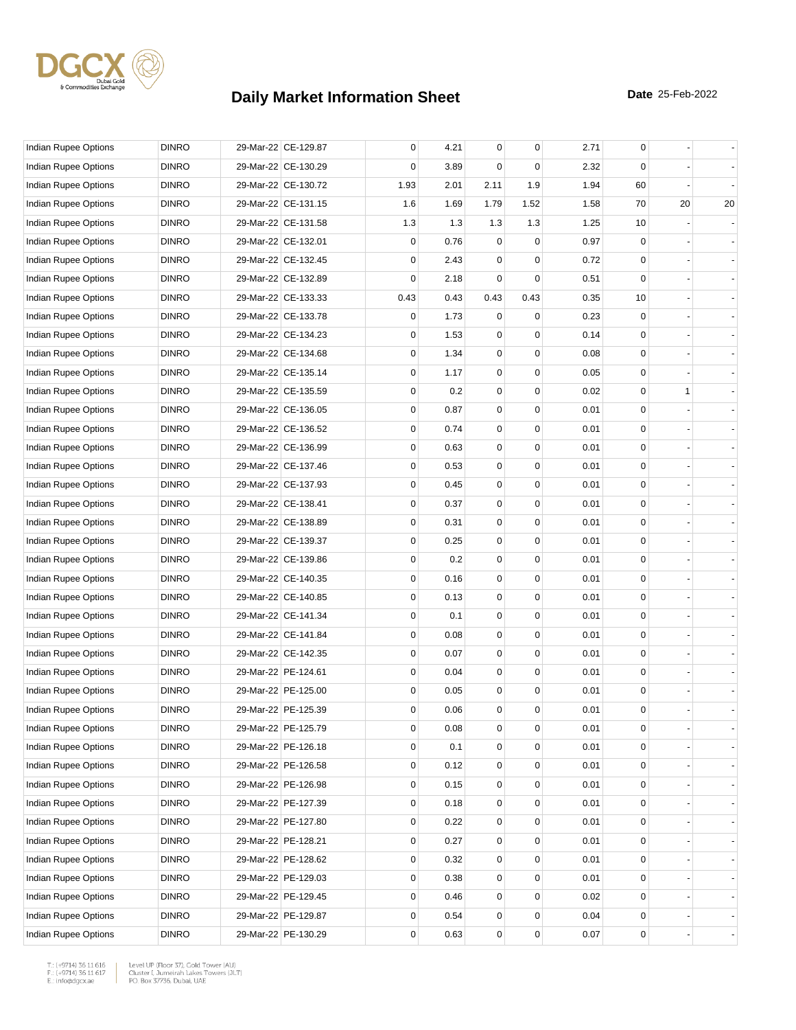

| Indian Rupee Options        | <b>DINRO</b> | 29-Mar-22 CE-129.87 | 0           | 4.21 | $\mathbf 0$ | 0    | 2.71 | 0            |    |    |
|-----------------------------|--------------|---------------------|-------------|------|-------------|------|------|--------------|----|----|
| Indian Rupee Options        | <b>DINRO</b> | 29-Mar-22 CE-130.29 | 0           | 3.89 | $\Omega$    | 0    | 2.32 | $\Omega$     |    |    |
| <b>Indian Rupee Options</b> | <b>DINRO</b> | 29-Mar-22 CE-130.72 | 1.93        | 2.01 | 2.11        | 1.9  | 1.94 | 60           |    |    |
| Indian Rupee Options        | <b>DINRO</b> | 29-Mar-22 CE-131.15 | 1.6         | 1.69 | 1.79        | 1.52 | 1.58 | 70           | 20 | 20 |
| Indian Rupee Options        | <b>DINRO</b> | 29-Mar-22 CE-131.58 | 1.3         | 1.3  | 1.3         | 1.3  | 1.25 | 10           |    |    |
| Indian Rupee Options        | <b>DINRO</b> | 29-Mar-22 CE-132.01 | 0           | 0.76 | 0           | 0    | 0.97 | 0            |    |    |
| Indian Rupee Options        | <b>DINRO</b> | 29-Mar-22 CE-132.45 | 0           | 2.43 | $\Omega$    | 0    | 0.72 | 0            |    |    |
| Indian Rupee Options        | <b>DINRO</b> | 29-Mar-22 CE-132.89 | 0           | 2.18 | 0           | 0    | 0.51 | $\Omega$     |    |    |
| <b>Indian Rupee Options</b> | <b>DINRO</b> | 29-Mar-22 CE-133.33 | 0.43        | 0.43 | 0.43        | 0.43 | 0.35 | 10           |    |    |
| Indian Rupee Options        | <b>DINRO</b> | 29-Mar-22 CE-133.78 | 0           | 1.73 | $\mathbf 0$ | 0    | 0.23 | $\mathbf 0$  |    |    |
| Indian Rupee Options        | <b>DINRO</b> | 29-Mar-22 CE-134.23 | 0           | 1.53 | 0           | 0    | 0.14 | $\mathbf 0$  |    |    |
| Indian Rupee Options        | <b>DINRO</b> | 29-Mar-22 CE-134.68 | 0           | 1.34 | 0           | 0    | 0.08 | 0            |    |    |
| Indian Rupee Options        | <b>DINRO</b> | 29-Mar-22 CE-135.14 | 0           | 1.17 | 0           | 0    | 0.05 | $\mathbf 0$  |    |    |
| Indian Rupee Options        | <b>DINRO</b> | 29-Mar-22 CE-135.59 | 0           | 0.2  | 0           | 0    | 0.02 | 0            | 1  |    |
| Indian Rupee Options        | <b>DINRO</b> | 29-Mar-22 CE-136.05 | 0           | 0.87 | $\mathbf 0$ | 0    | 0.01 | $\mathbf 0$  |    |    |
| Indian Rupee Options        | <b>DINRO</b> | 29-Mar-22 CE-136.52 | 0           | 0.74 | $\mathbf 0$ | 0    | 0.01 | $\mathbf 0$  |    |    |
| Indian Rupee Options        | <b>DINRO</b> | 29-Mar-22 CE-136.99 | 0           | 0.63 | 0           | 0    | 0.01 | 0            |    |    |
| Indian Rupee Options        | <b>DINRO</b> | 29-Mar-22 CE-137.46 | 0           | 0.53 | 0           | 0    | 0.01 | $\mathbf 0$  |    |    |
| <b>Indian Rupee Options</b> | <b>DINRO</b> | 29-Mar-22 CE-137.93 | 0           | 0.45 | 0           | 0    | 0.01 | 0            |    |    |
| Indian Rupee Options        | <b>DINRO</b> | 29-Mar-22 CE-138.41 | 0           | 0.37 | $\mathbf 0$ | 0    | 0.01 | $\mathbf 0$  |    |    |
| Indian Rupee Options        | <b>DINRO</b> | 29-Mar-22 CE-138.89 | 0           | 0.31 | $\mathbf 0$ | 0    | 0.01 | $\mathbf 0$  |    |    |
| Indian Rupee Options        | <b>DINRO</b> | 29-Mar-22 CE-139.37 | 0           | 0.25 | $\Omega$    | 0    | 0.01 | 0            |    |    |
| Indian Rupee Options        | <b>DINRO</b> | 29-Mar-22 CE-139.86 | 0           | 0.2  | 0           | 0    | 0.01 | $\mathbf 0$  |    |    |
| Indian Rupee Options        | <b>DINRO</b> | 29-Mar-22 CE-140.35 | $\mathbf 0$ | 0.16 | 0           | 0    | 0.01 | 0            |    |    |
| Indian Rupee Options        | <b>DINRO</b> | 29-Mar-22 CE-140.85 | 0           | 0.13 | $\mathbf 0$ | 0    | 0.01 | $\mathbf 0$  |    |    |
| Indian Rupee Options        | <b>DINRO</b> | 29-Mar-22 CE-141.34 | $\mathbf 0$ | 0.1  | $\mathbf 0$ | 0    | 0.01 | $\mathbf 0$  |    |    |
| Indian Rupee Options        | <b>DINRO</b> | 29-Mar-22 CE-141.84 | 0           | 0.08 | 0           | 0    | 0.01 | 0            |    |    |
| Indian Rupee Options        | <b>DINRO</b> | 29-Mar-22 CE-142.35 | 0           | 0.07 | 0           | 0    | 0.01 | $\mathbf 0$  |    |    |
| Indian Rupee Options        | <b>DINRO</b> | 29-Mar-22 PE-124.61 | 0           | 0.04 | 0           | 0    | 0.01 | 0            |    |    |
| Indian Rupee Options        | <b>DINRO</b> | 29-Mar-22 PE-125.00 | 0           | 0.05 | $\mathbf 0$ | 0    | 0.01 | $\mathbf 0$  |    |    |
| Indian Rupee Options        | <b>DINRO</b> | 29-Mar-22 PE-125.39 | 0           | 0.06 | $\mathbf 0$ | 0    | 0.01 | $\mathbf 0$  |    |    |
| Indian Rupee Options        | <b>DINRO</b> | 29-Mar-22 PE-125.79 | 0           | 0.08 | 0           | 0    | 0.01 | 0            |    |    |
| Indian Rupee Options        | <b>DINRO</b> | 29-Mar-22 PE-126.18 | 0           | 0.1  | 0           | 0    | 0.01 | 0            |    |    |
| Indian Rupee Options        | <b>DINRO</b> | 29-Mar-22 PE-126.58 | 0           | 0.12 | 0           | 0    | 0.01 | 0            |    |    |
| Indian Rupee Options        | <b>DINRO</b> | 29-Mar-22 PE-126.98 | 0           | 0.15 | $\mathbf 0$ | 0    | 0.01 | $\mathbf{0}$ |    |    |
| Indian Rupee Options        | <b>DINRO</b> | 29-Mar-22 PE-127.39 | 0           | 0.18 | $\mathbf 0$ | 0    | 0.01 | 0            |    |    |
| <b>Indian Rupee Options</b> | <b>DINRO</b> | 29-Mar-22 PE-127.80 | 0           | 0.22 | 0           | 0    | 0.01 | 0            |    |    |
| <b>Indian Rupee Options</b> | <b>DINRO</b> | 29-Mar-22 PE-128.21 | 0           | 0.27 | 0           | 0    | 0.01 | 0            |    |    |
| <b>Indian Rupee Options</b> | <b>DINRO</b> | 29-Mar-22 PE-128.62 | 0           | 0.32 | 0           | 0    | 0.01 | 0            |    |    |
| Indian Rupee Options        | <b>DINRO</b> | 29-Mar-22 PE-129.03 | 0           | 0.38 | $\mathbf 0$ | 0    | 0.01 | 0            |    |    |
| Indian Rupee Options        | <b>DINRO</b> | 29-Mar-22 PE-129.45 | 0           | 0.46 | $\mathbf 0$ | 0    | 0.02 | 0            |    |    |
| Indian Rupee Options        | <b>DINRO</b> | 29-Mar-22 PE-129.87 | 0           | 0.54 | 0           | 0    | 0.04 | 0            |    |    |
| Indian Rupee Options        | <b>DINRO</b> | 29-Mar-22 PE-130.29 | 0           | 0.63 | 0           | 0    | 0.07 | 0            |    |    |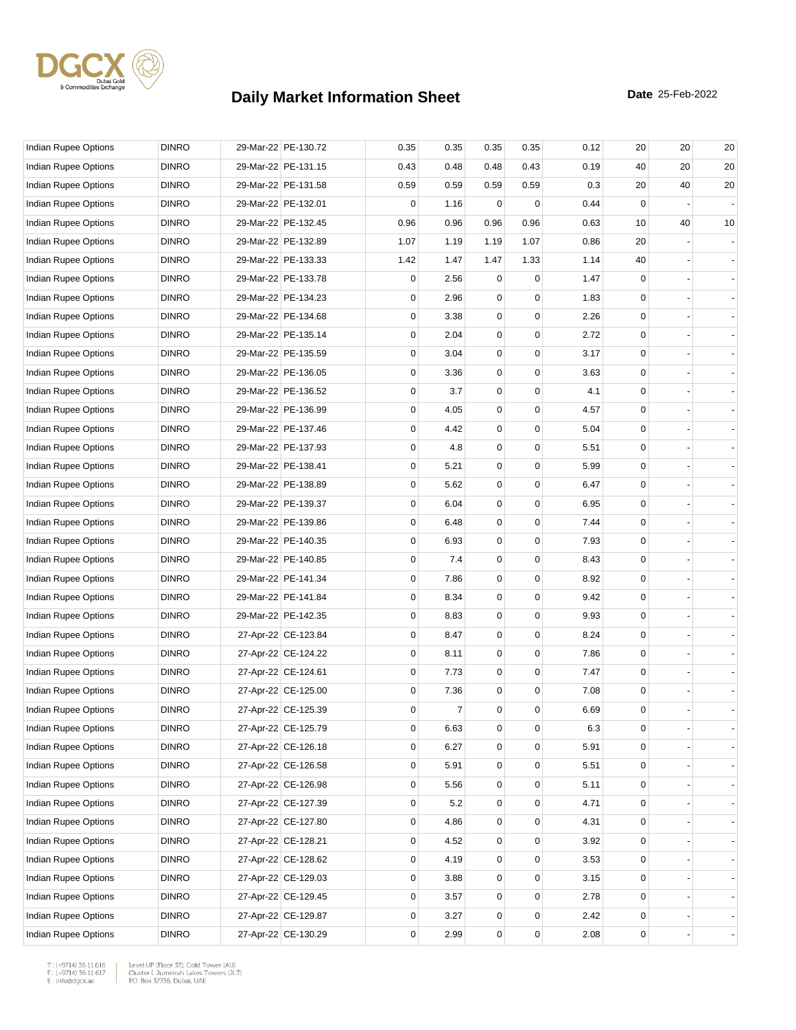

| Indian Rupee Options        | <b>DINRO</b> | 29-Mar-22 PE-130.72 | 0.35        | 0.35           | 0.35           | 0.35        | 0.12 | 20             | 20 | 20 |
|-----------------------------|--------------|---------------------|-------------|----------------|----------------|-------------|------|----------------|----|----|
| Indian Rupee Options        | <b>DINRO</b> | 29-Mar-22 PE-131.15 | 0.43        | 0.48           | 0.48           | 0.43        | 0.19 | 40             | 20 | 20 |
| Indian Rupee Options        | <b>DINRO</b> | 29-Mar-22 PE-131.58 | 0.59        | 0.59           | 0.59           | 0.59        | 0.3  | 20             | 40 | 20 |
| Indian Rupee Options        | <b>DINRO</b> | 29-Mar-22 PE-132.01 | 0           | 1.16           | $\mathbf 0$    | $\mathbf 0$ | 0.44 | 0              |    |    |
| Indian Rupee Options        | <b>DINRO</b> | 29-Mar-22 PE-132.45 | 0.96        | 0.96           | 0.96           | 0.96        | 0.63 | 10             | 40 | 10 |
| Indian Rupee Options        | <b>DINRO</b> | 29-Mar-22 PE-132.89 | 1.07        | 1.19           | 1.19           | 1.07        | 0.86 | 20             |    |    |
| Indian Rupee Options        | <b>DINRO</b> | 29-Mar-22 PE-133.33 | 1.42        | 1.47           | 1.47           | 1.33        | 1.14 | 40             |    |    |
| <b>Indian Rupee Options</b> | <b>DINRO</b> | 29-Mar-22 PE-133.78 | 0           | 2.56           | 0              | 0           | 1.47 | 0              |    |    |
| Indian Rupee Options        | <b>DINRO</b> | 29-Mar-22 PE-134.23 | 0           | 2.96           | 0              | 0           | 1.83 | 0              |    |    |
| Indian Rupee Options        | <b>DINRO</b> | 29-Mar-22 PE-134.68 | 0           | 3.38           | 0              | $\mathbf 0$ | 2.26 | 0              |    |    |
| Indian Rupee Options        | <b>DINRO</b> | 29-Mar-22 PE-135.14 | 0           | 2.04           | 0              | $\Omega$    | 2.72 | $\Omega$       |    |    |
| Indian Rupee Options        | <b>DINRO</b> | 29-Mar-22 PE-135.59 | 0           | 3.04           | 0              | 0           | 3.17 | $\mathbf 0$    |    |    |
| Indian Rupee Options        | <b>DINRO</b> | 29-Mar-22 PE-136.05 | 0           | 3.36           | 0              | $\mathbf 0$ | 3.63 | 0              |    |    |
| Indian Rupee Options        | <b>DINRO</b> | 29-Mar-22 PE-136.52 | 0           | 3.7            | 0              | 0           | 4.1  | 0              |    |    |
| Indian Rupee Options        | <b>DINRO</b> | 29-Mar-22 PE-136.99 | $\mathbf 0$ | 4.05           | 0              | $\mathbf 0$ | 4.57 | 0              |    |    |
| Indian Rupee Options        | <b>DINRO</b> | 29-Mar-22 PE-137.46 | 0           | 4.42           | 0              | $\Omega$    | 5.04 | $\Omega$       |    |    |
| Indian Rupee Options        | <b>DINRO</b> | 29-Mar-22 PE-137.93 | 0           | 4.8            | 0              | $\mathbf 0$ | 5.51 | $\mathbf 0$    |    |    |
| Indian Rupee Options        | <b>DINRO</b> | 29-Mar-22 PE-138.41 | 0           | 5.21           | 0              | $\mathbf 0$ | 5.99 | 0              |    |    |
| Indian Rupee Options        | <b>DINRO</b> | 29-Mar-22 PE-138.89 | 0           | 5.62           | 0              | 0           | 6.47 | $\Omega$       |    |    |
| Indian Rupee Options        | <b>DINRO</b> | 29-Mar-22 PE-139.37 | $\mathbf 0$ | 6.04           | 0              | $\mathbf 0$ | 6.95 | 0              |    |    |
| Indian Rupee Options        | <b>DINRO</b> | 29-Mar-22 PE-139.86 | 0           | 6.48           | 0              | $\Omega$    | 7.44 | $\Omega$       |    |    |
| Indian Rupee Options        | <b>DINRO</b> | 29-Mar-22 PE-140.35 | 0           | 6.93           | 0              | $\mathbf 0$ | 7.93 | 0              |    |    |
| Indian Rupee Options        | <b>DINRO</b> | 29-Mar-22 PE-140.85 | 0           | 7.4            | 0              | $\mathbf 0$ | 8.43 | 0              |    |    |
| Indian Rupee Options        | <b>DINRO</b> | 29-Mar-22 PE-141.34 | 0           | 7.86           | 0              | 0           | 8.92 | $\Omega$       |    |    |
| Indian Rupee Options        | <b>DINRO</b> | 29-Mar-22 PE-141.84 | $\mathbf 0$ | 8.34           | 0              | $\mathbf 0$ | 9.42 | 0              |    |    |
| Indian Rupee Options        | <b>DINRO</b> | 29-Mar-22 PE-142.35 | 0           | 8.83           | 0              | $\Omega$    | 9.93 | $\Omega$       |    |    |
| Indian Rupee Options        | <b>DINRO</b> | 27-Apr-22 CE-123.84 | 0           | 8.47           | 0              | $\mathbf 0$ | 8.24 | $\mathbf 0$    |    |    |
| Indian Rupee Options        | <b>DINRO</b> | 27-Apr-22 CE-124.22 | 0           | 8.11           | 0              | $\mathbf 0$ | 7.86 | 0              |    |    |
| Indian Rupee Options        | <b>DINRO</b> | 27-Apr-22 CE-124.61 | 0           | 7.73           | 0              | 0           | 7.47 | 0              |    |    |
| Indian Rupee Options        | <b>DINRO</b> | 27-Apr-22 CE-125.00 | 0           | 7.36           | 0              | 0           | 7.08 | 0              |    |    |
| Indian Rupee Options        | <b>DINRO</b> | 27-Apr-22 CE-125.39 | 0           | $\overline{7}$ | 0              | $\mathbf 0$ | 6.69 | 0              |    |    |
| Indian Rupee Options        | <b>DINRO</b> | 27-Apr-22 CE-125.79 | 0           | 6.63           | 0              | 0           | 6.3  | 0              |    |    |
| Indian Rupee Options        | <b>DINRO</b> | 27-Apr-22 CE-126.18 | $\mathbf 0$ | 6.27           | 0              | 0           | 5.91 | 0              |    |    |
| Indian Rupee Options        | <b>DINRO</b> | 27-Apr-22 CE-126.58 | 0           | 5.91           | 0              | 0           | 5.51 | 0              |    |    |
| Indian Rupee Options        | <b>DINRO</b> | 27-Apr-22 CE-126.98 | 0           | 5.56           | 0              | 0           | 5.11 | 0              |    |    |
| Indian Rupee Options        | <b>DINRO</b> | 27-Apr-22 CE-127.39 | 0           | 5.2            | 0              | 0           | 4.71 | 0              |    |    |
| <b>Indian Rupee Options</b> | <b>DINRO</b> | 27-Apr-22 CE-127.80 | 0           | 4.86           | 0              | 0           | 4.31 | $\mathbf{0}$   |    |    |
| Indian Rupee Options        | <b>DINRO</b> | 27-Apr-22 CE-128.21 | 0           | 4.52           | 0              | 0           | 3.92 | 0              |    |    |
| Indian Rupee Options        | <b>DINRO</b> | 27-Apr-22 CE-128.62 | 0           | 4.19           | 0              | 0           | 3.53 | 0              |    |    |
| Indian Rupee Options        | <b>DINRO</b> | 27-Apr-22 CE-129.03 | 0           | 3.88           | 0              | 0           | 3.15 | 0              |    |    |
| Indian Rupee Options        | <b>DINRO</b> | 27-Apr-22 CE-129.45 | 0           | 3.57           | 0              | 0           | 2.78 | 0              |    |    |
| Indian Rupee Options        | <b>DINRO</b> | 27-Apr-22 CE-129.87 | 0           | 3.27           | 0              | 0           | 2.42 | $\mathbf{0}$   |    |    |
| Indian Rupee Options        | <b>DINRO</b> | 27-Apr-22 CE-130.29 | 0           | 2.99           | $\overline{0}$ | $\mathbf 0$ | 2.08 | $\overline{0}$ |    |    |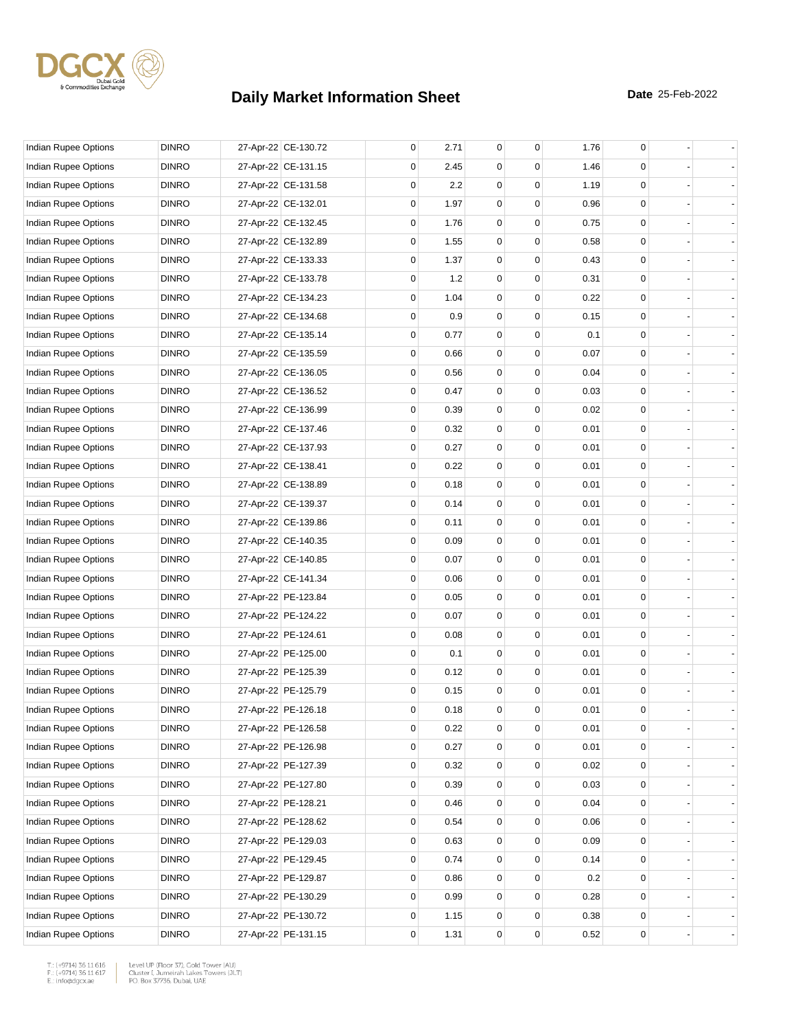

| <b>Indian Rupee Options</b> | <b>DINRO</b> | 27-Apr-22 CE-130.72 | 0 | 2.71 | 0           | 0           | 1.76 | 0           |  |
|-----------------------------|--------------|---------------------|---|------|-------------|-------------|------|-------------|--|
| Indian Rupee Options        | <b>DINRO</b> | 27-Apr-22 CE-131.15 | 0 | 2.45 | 0           | 0           | 1.46 | 0           |  |
| Indian Rupee Options        | <b>DINRO</b> | 27-Apr-22 CE-131.58 | 0 | 2.2  | 0           | 0           | 1.19 | 0           |  |
| Indian Rupee Options        | <b>DINRO</b> | 27-Apr-22 CE-132.01 | 0 | 1.97 | 0           | 0           | 0.96 | 0           |  |
| Indian Rupee Options        | <b>DINRO</b> | 27-Apr-22 CE-132.45 | 0 | 1.76 | 0           | 0           | 0.75 | 0           |  |
| Indian Rupee Options        | <b>DINRO</b> | 27-Apr-22 CE-132.89 | 0 | 1.55 | $\mathbf 0$ | $\mathbf 0$ | 0.58 | 0           |  |
| Indian Rupee Options        | <b>DINRO</b> | 27-Apr-22 CE-133.33 | 0 | 1.37 | 0           | 0           | 0.43 | 0           |  |
| Indian Rupee Options        | <b>DINRO</b> | 27-Apr-22 CE-133.78 | 0 | 1.2  | 0           | $\Omega$    | 0.31 | 0           |  |
| Indian Rupee Options        | <b>DINRO</b> | 27-Apr-22 CE-134.23 | 0 | 1.04 | 0           | 0           | 0.22 | 0           |  |
| Indian Rupee Options        | <b>DINRO</b> | 27-Apr-22 CE-134.68 | 0 | 0.9  | 0           | 0           | 0.15 | 0           |  |
| Indian Rupee Options        | <b>DINRO</b> | 27-Apr-22 CE-135.14 | 0 | 0.77 | $\mathbf 0$ | $\mathbf 0$ | 0.1  | 0           |  |
| Indian Rupee Options        | <b>DINRO</b> | 27-Apr-22 CE-135.59 | 0 | 0.66 | 0           | 0           | 0.07 | 0           |  |
| Indian Rupee Options        | <b>DINRO</b> | 27-Apr-22 CE-136.05 | 0 | 0.56 | 0           | $\Omega$    | 0.04 | 0           |  |
| Indian Rupee Options        | <b>DINRO</b> | 27-Apr-22 CE-136.52 | 0 | 0.47 | 0           | 0           | 0.03 | 0           |  |
| Indian Rupee Options        | <b>DINRO</b> | 27-Apr-22 CE-136.99 | 0 | 0.39 | 0           | 0           | 0.02 | 0           |  |
| Indian Rupee Options        | <b>DINRO</b> | 27-Apr-22 CE-137.46 | 0 | 0.32 | $\mathbf 0$ | $\mathbf 0$ | 0.01 | 0           |  |
| Indian Rupee Options        | <b>DINRO</b> | 27-Apr-22 CE-137.93 | 0 | 0.27 | 0           | $\Omega$    | 0.01 | 0           |  |
| Indian Rupee Options        | <b>DINRO</b> | 27-Apr-22 CE-138.41 | 0 | 0.22 | 0           | $\Omega$    | 0.01 | 0           |  |
| Indian Rupee Options        | <b>DINRO</b> | 27-Apr-22 CE-138.89 | 0 | 0.18 | 0           | 0           | 0.01 | 0           |  |
| Indian Rupee Options        | <b>DINRO</b> | 27-Apr-22 CE-139.37 | 0 | 0.14 | 0           | 0           | 0.01 | 0           |  |
| Indian Rupee Options        | <b>DINRO</b> | 27-Apr-22 CE-139.86 | 0 | 0.11 | $\mathbf 0$ | $\mathbf 0$ | 0.01 | 0           |  |
| Indian Rupee Options        | <b>DINRO</b> | 27-Apr-22 CE-140.35 | 0 | 0.09 | 0           | $\Omega$    | 0.01 | 0           |  |
| Indian Rupee Options        | <b>DINRO</b> | 27-Apr-22 CE-140.85 | 0 | 0.07 | 0           | $\Omega$    | 0.01 | 0           |  |
| Indian Rupee Options        | <b>DINRO</b> | 27-Apr-22 CE-141.34 | 0 | 0.06 | 0           | 0           | 0.01 | 0           |  |
| Indian Rupee Options        | <b>DINRO</b> | 27-Apr-22 PE-123.84 | 0 | 0.05 | 0           | 0           | 0.01 | 0           |  |
| Indian Rupee Options        | <b>DINRO</b> | 27-Apr-22 PE-124.22 | 0 | 0.07 | $\mathbf 0$ | $\mathbf 0$ | 0.01 | 0           |  |
| Indian Rupee Options        | <b>DINRO</b> | 27-Apr-22 PE-124.61 | 0 | 0.08 | 0           | $\Omega$    | 0.01 | 0           |  |
| Indian Rupee Options        | <b>DINRO</b> | 27-Apr-22 PE-125.00 | 0 | 0.1  | 0           | 0           | 0.01 | 0           |  |
| Indian Rupee Options        | <b>DINRO</b> | 27-Apr-22 PE-125.39 | 0 | 0.12 | 0           | 0           | 0.01 | 0           |  |
| Indian Rupee Options        | <b>DINRO</b> | 27-Apr-22 PE-125.79 | 0 | 0.15 | 0           | 0           | 0.01 | $\mathbf 0$ |  |
| Indian Rupee Options        | <b>DINRO</b> | 27-Apr-22 PE-126.18 | 0 | 0.18 | $\mathbf 0$ | 0           | 0.01 | $\mathbf 0$ |  |
| Indian Rupee Options        | <b>DINRO</b> | 27-Apr-22 PE-126.58 | 0 | 0.22 | 0           | 0           | 0.01 | 0           |  |
| Indian Rupee Options        | <b>DINRO</b> | 27-Apr-22 PE-126.98 | 0 | 0.27 | 0           | 0           | 0.01 | 0           |  |
| <b>Indian Rupee Options</b> | <b>DINRO</b> | 27-Apr-22 PE-127.39 | 0 | 0.32 | 0           | 0           | 0.02 | 0           |  |
| Indian Rupee Options        | <b>DINRO</b> | 27-Apr-22 PE-127.80 | 0 | 0.39 | 0           | $\mathbf 0$ | 0.03 | 0           |  |
| Indian Rupee Options        | <b>DINRO</b> | 27-Apr-22 PE-128.21 | 0 | 0.46 | 0           | 0           | 0.04 | 0           |  |
| <b>Indian Rupee Options</b> | <b>DINRO</b> | 27-Apr-22 PE-128.62 | 0 | 0.54 | 0           | 0           | 0.06 | 0           |  |
| Indian Rupee Options        | <b>DINRO</b> | 27-Apr-22 PE-129.03 | 0 | 0.63 | 0           | 0           | 0.09 | 0           |  |
| Indian Rupee Options        | <b>DINRO</b> | 27-Apr-22 PE-129.45 | 0 | 0.74 | 0           | 0           | 0.14 | 0           |  |
| Indian Rupee Options        | <b>DINRO</b> | 27-Apr-22 PE-129.87 | 0 | 0.86 | 0           | 0           | 0.2  | 0           |  |
| Indian Rupee Options        | <b>DINRO</b> | 27-Apr-22 PE-130.29 | 0 | 0.99 | 0           | 0           | 0.28 | 0           |  |
| Indian Rupee Options        | <b>DINRO</b> | 27-Apr-22 PE-130.72 | 0 | 1.15 | 0           | 0           | 0.38 | 0           |  |
| Indian Rupee Options        | <b>DINRO</b> | 27-Apr-22 PE-131.15 | 0 | 1.31 | 0           | 0           | 0.52 | 0           |  |